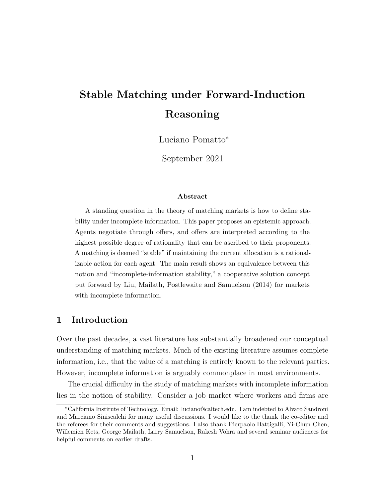# **Stable Matching under Forward-Induction Reasoning**

Luciano Pomatto<sup>∗</sup>

September 2021

#### **Abstract**

A standing question in the theory of matching markets is how to define stability under incomplete information. This paper proposes an epistemic approach. Agents negotiate through offers, and offers are interpreted according to the highest possible degree of rationality that can be ascribed to their proponents. A matching is deemed "stable" if maintaining the current allocation is a rationalizable action for each agent. The main result shows an equivalence between this notion and "incomplete-information stability," a cooperative solution concept put forward by Liu, Mailath, Postlewaite and Samuelson (2014) for markets with incomplete information.

# **1 Introduction**

Over the past decades, a vast literature has substantially broadened our conceptual understanding of matching markets. Much of the existing literature assumes complete information, i.e., that the value of a matching is entirely known to the relevant parties. However, incomplete information is arguably commonplace in most environments.

The crucial difficulty in the study of matching markets with incomplete information lies in the notion of stability. Consider a job market where workers and firms are

<sup>∗</sup>California Institute of Technology. Email: luciano@caltech.edu. I am indebted to Alvaro Sandroni and Marciano Siniscalchi for many useful discussions. I would like to the thank the co-editor and the referees for their comments and suggestions. I also thank Pierpaolo Battigalli, Yi-Chun Chen, Willemien Kets, George Mailath, Larry Samuelson, Rakesh Vohra and several seminar audiences for helpful comments on earlier drafts.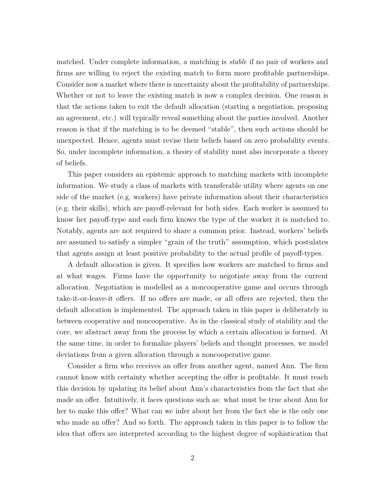matched. Under complete information, a matching is *stable* if no pair of workers and firms are willing to reject the existing match to form more profitable partnerships. Consider now a market where there is uncertainty about the profitability of partnerships. Whether or not to leave the existing match is now a complex decision. One reason is that the actions taken to exit the default allocation (starting a negotiation, proposing an agreement, etc.) will typically reveal something about the parties involved. Another reason is that if the matching is to be deemed "stable", then such actions should be unexpected. Hence, agents must revise their beliefs based on zero probability events. So, under incomplete information, a theory of stability must also incorporate a theory of beliefs.

This paper considers an epistemic approach to matching markets with incomplete information. We study a class of markets with transferable utility where agents on one side of the market (e.g. workers) have private information about their characteristics (e.g. their skills), which are payoff-relevant for both sides. Each worker is assumed to know her payoff-type and each firm knows the type of the worker it is matched to. Notably, agents are not required to share a common prior. Instead, workers' beliefs are assumed to satisfy a simpler "grain of the truth" assumption, which postulates that agents assign at least positive probability to the actual profile of payoff-types.

A default allocation is given. It specifies how workers are matched to firms and at what wages. Firms have the opportunity to negotiate away from the current allocation. Negotiation is modelled as a noncooperative game and occurs through take-it-or-leave-it offers. If no offers are made, or all offers are rejected, then the default allocation is implemented. The approach taken in this paper is deliberately in between cooperative and noncooperative. As in the classical study of stability and the core, we abstract away from the process by which a certain allocation is formed. At the same time, in order to formalize players' beliefs and thought processes, we model deviations from a given allocation through a noncooperative game.

Consider a firm who receives an offer from another agent, named Ann. The firm cannot know with certainty whether accepting the offer is profitable. It must reach this decision by updating its belief about Ann's characteristics from the fact that she made an offer. Intuitively, it faces questions such as: what must be true about Ann for her to make this offer? What can we infer about her from the fact she is the only one who made an offer? And so forth. The approach taken in this paper is to follow the idea that offers are interpreted according to the highest degree of sophistication that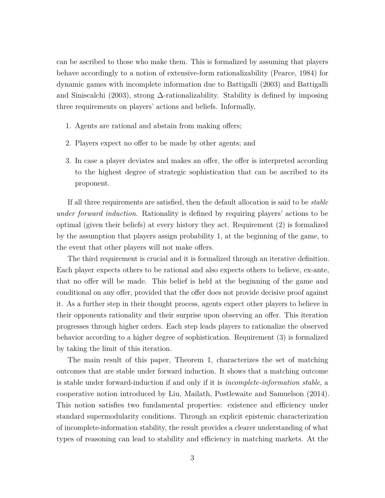can be ascribed to those who make them. This is formalized by assuming that players behave accordingly to a notion of extensive-form rationalizability (Pearce, 1984) for dynamic games with incomplete information due to Battigalli (2003) and Battigalli and Siniscalchi (2003), strong ∆-rationalizability. Stability is defined by imposing three requirements on players' actions and beliefs. Informally,

- 1. Agents are rational and abstain from making offers;
- 2. Players expect no offer to be made by other agents; and
- 3. In case a player deviates and makes an offer, the offer is interpreted according to the highest degree of strategic sophistication that can be ascribed to its proponent.

If all three requirements are satisfied, then the default allocation is said to be *stable under forward induction*. Rationality is defined by requiring players' actions to be optimal (given their beliefs) at every history they act. Requirement (2) is formalized by the assumption that players assign probability 1, at the beginning of the game, to the event that other players will not make offers.

The third requirement is crucial and it is formalized through an iterative definition. Each player expects others to be rational and also expects others to believe, ex-ante, that no offer will be made. This belief is held at the beginning of the game and conditional on any offer, provided that the offer does not provide decisive proof against it. As a further step in their thought process, agents expect other players to believe in their opponents rationality and their surprise upon observing an offer. This iteration progresses through higher orders. Each step leads players to rationalize the observed behavior according to a higher degree of sophistication. Requirement (3) is formalized by taking the limit of this iteration.

The main result of this paper, Theorem 1, characterizes the set of matching outcomes that are stable under forward induction. It shows that a matching outcome is stable under forward-induction if and only if it is *incomplete-information stable*, a cooperative notion introduced by Liu, Mailath, Postlewaite and Samuelson (2014). This notion satisfies two fundamental properties: existence and efficiency under standard supermodularity conditions. Through an explicit epistemic characterization of incomplete-information stability, the result provides a clearer understanding of what types of reasoning can lead to stability and efficiency in matching markets. At the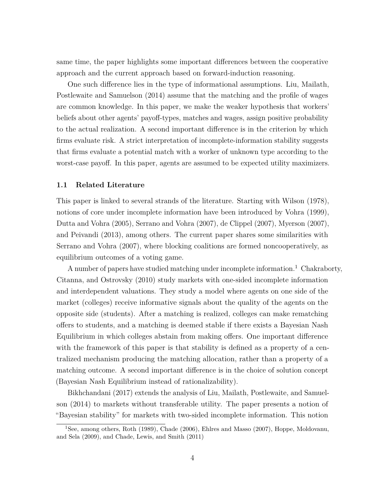same time, the paper highlights some important differences between the cooperative approach and the current approach based on forward-induction reasoning.

One such difference lies in the type of informational assumptions. Liu, Mailath, Postlewaite and Samuelson (2014) assume that the matching and the profile of wages are common knowledge. In this paper, we make the weaker hypothesis that workers' beliefs about other agents' payoff-types, matches and wages, assign positive probability to the actual realization. A second important difference is in the criterion by which firms evaluate risk. A strict interpretation of incomplete-information stability suggests that firms evaluate a potential match with a worker of unknown type according to the worst-case payoff. In this paper, agents are assumed to be expected utility maximizers.

#### **1.1 Related Literature**

This paper is linked to several strands of the literature. Starting with Wilson (1978), notions of core under incomplete information have been introduced by Vohra (1999), Dutta and Vohra (2005), Serrano and Vohra (2007), de Clippel (2007), Myerson (2007), and Peivandi (2013), among others. The current paper shares some similarities with Serrano and Vohra (2007), where blocking coalitions are formed noncooperatively, as equilibrium outcomes of a voting game.

A number of papers have studied matching under incomplete information.<sup>1</sup> Chakraborty, Citanna, and Ostrovsky (2010) study markets with one-sided incomplete information and interdependent valuations. They study a model where agents on one side of the market (colleges) receive informative signals about the quality of the agents on the opposite side (students). After a matching is realized, colleges can make rematching offers to students, and a matching is deemed stable if there exists a Bayesian Nash Equilibrium in which colleges abstain from making offers. One important difference with the framework of this paper is that stability is defined as a property of a centralized mechanism producing the matching allocation, rather than a property of a matching outcome. A second important difference is in the choice of solution concept (Bayesian Nash Equilibrium instead of rationalizability).

Bikhchandani (2017) extends the analysis of Liu, Mailath, Postlewaite, and Samuelson (2014) to markets without transferable utility. The paper presents a notion of "Bayesian stability" for markets with two-sided incomplete information. This notion

<sup>&</sup>lt;sup>1</sup>See, among others, Roth (1989), Chade (2006), Ehlres and Masso (2007), Hoppe, Moldovanu, and Sela (2009), and Chade, Lewis, and Smith (2011)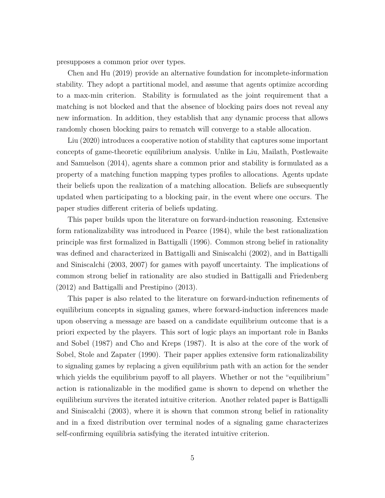presupposes a common prior over types.

Chen and Hu (2019) provide an alternative foundation for incomplete-information stability. They adopt a partitional model, and assume that agents optimize according to a max-min criterion. Stability is formulated as the joint requirement that a matching is not blocked and that the absence of blocking pairs does not reveal any new information. In addition, they establish that any dynamic process that allows randomly chosen blocking pairs to rematch will converge to a stable allocation.

Liu (2020) introduces a cooperative notion of stability that captures some important concepts of game-theoretic equilibrium analysis. Unlike in Liu, Mailath, Postlewaite and Samuelson (2014), agents share a common prior and stability is formulated as a property of a matching function mapping types profiles to allocations. Agents update their beliefs upon the realization of a matching allocation. Beliefs are subsequently updated when participating to a blocking pair, in the event where one occurs. The paper studies different criteria of beliefs updating.

This paper builds upon the literature on forward-induction reasoning. Extensive form rationalizability was introduced in Pearce (1984), while the best rationalization principle was first formalized in Battigalli (1996). Common strong belief in rationality was defined and characterized in Battigalli and Siniscalchi (2002), and in Battigalli and Siniscalchi (2003, 2007) for games with payoff uncertainty. The implications of common strong belief in rationality are also studied in Battigalli and Friedenberg (2012) and Battigalli and Prestipino (2013).

This paper is also related to the literature on forward-induction refinements of equilibrium concepts in signaling games, where forward-induction inferences made upon observing a message are based on a candidate equilibrium outcome that is a priori expected by the players. This sort of logic plays an important role in Banks and Sobel (1987) and Cho and Kreps (1987). It is also at the core of the work of Sobel, Stole and Zapater (1990). Their paper applies extensive form rationalizability to signaling games by replacing a given equilibrium path with an action for the sender which yields the equilibrium payoff to all players. Whether or not the "equilibrium" action is rationalizable in the modified game is shown to depend on whether the equilibrium survives the iterated intuitive criterion. Another related paper is Battigalli and Siniscalchi (2003), where it is shown that common strong belief in rationality and in a fixed distribution over terminal nodes of a signaling game characterizes self-confirming equilibria satisfying the iterated intuitive criterion.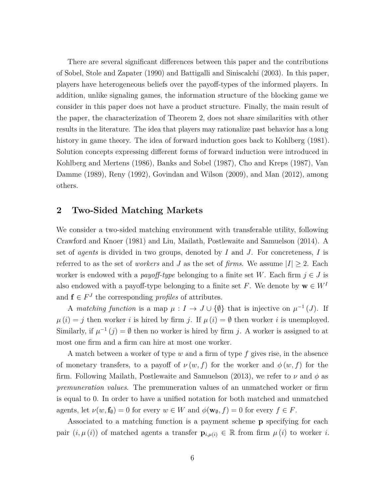There are several significant differences between this paper and the contributions of Sobel, Stole and Zapater (1990) and Battigalli and Siniscalchi (2003). In this paper, players have heterogeneous beliefs over the payoff-types of the informed players. In addition, unlike signaling games, the information structure of the blocking game we consider in this paper does not have a product structure. Finally, the main result of the paper, the characterization of Theorem 2, does not share similarities with other results in the literature. The idea that players may rationalize past behavior has a long history in game theory. The idea of forward induction goes back to Kohlberg (1981). Solution concepts expressing different forms of forward induction were introduced in Kohlberg and Mertens (1986), Banks and Sobel (1987), Cho and Kreps (1987), Van Damme (1989), Reny (1992), Govindan and Wilson (2009), and Man (2012), among others.

# **2 Two-Sided Matching Markets**

We consider a two-sided matching environment with transferable utility, following Crawford and Knoer (1981) and Liu, Mailath, Postlewaite and Samuelson (2014). A set of *agents* is divided in two groups, denoted by *I* and *J*. For concreteness, *I* is referred to as the set of *workers* and *J* as the set of *firms*. We assume  $|I| \geq 2$ . Each worker is endowed with a *payoff-type* belonging to a finite set W. Each firm  $j \in J$  is also endowed with a payoff-type belonging to a finite set *F*. We denote by  $\mathbf{w} \in W^I$ and  $f \in F<sup>J</sup>$  the corresponding *profiles* of attributes.

A *matching function* is a map  $\mu : I \to J \cup \{\emptyset\}$  that is injective on  $\mu^{-1}(J)$ . If  $\mu(i) = j$  then worker *i* is hired by firm *j*. If  $\mu(i) = \emptyset$  then worker *i* is unemployed. Similarly, if  $\mu^{-1}(j) = \emptyset$  then no worker is hired by firm *j*. A worker is assigned to at most one firm and a firm can hire at most one worker.

A match between a worker of type *w* and a firm of type *f* gives rise, in the absence of monetary transfers, to a payoff of  $\nu(w, f)$  for the worker and  $\phi(w, f)$  for the firm. Following Mailath, Postlewaite and Samuelson (2013), we refer to *ν* and *φ* as *premuneration values*. The premuneration values of an unmatched worker or firm is equal to 0. In order to have a unified notation for both matched and unmatched agents, let  $\nu(w, \mathbf{f}_{\emptyset}) = 0$  for every  $w \in W$  and  $\phi(\mathbf{w}_{\emptyset}, f) = 0$  for every  $f \in F$ .

Associated to a matching function is a payment scheme **p** specifying for each pair  $(i, \mu(i))$  of matched agents a transfer  $\mathbf{p}_{i,\mu(i)} \in \mathbb{R}$  from firm  $\mu(i)$  to worker *i*.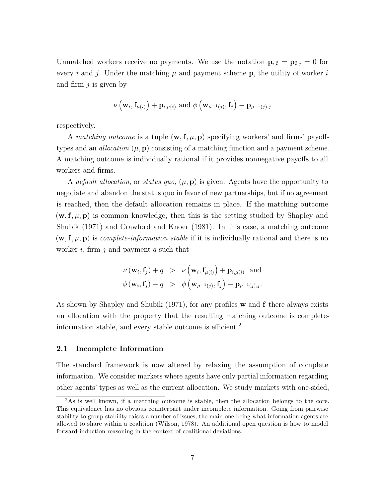Unmatched workers receive no payments. We use the notation  $\mathbf{p}_{i,\emptyset} = \mathbf{p}_{\emptyset,j} = 0$  for every *i* and *j*. Under the matching  $\mu$  and payment scheme **p**, the utility of worker *i* and firm *j* is given by

$$
\nu\left(\mathbf{w}_i, \mathbf{f}_{\mu(i)}\right) + \mathbf{p}_{i,\mu(i)}
$$
 and  $\phi\left(\mathbf{w}_{\mu^{-1}(j)}, \mathbf{f}_j\right) - \mathbf{p}_{\mu^{-1}(j),j}$ 

respectively.

A *matching outcome* is a tuple  $(\mathbf{w}, \mathbf{f}, \mu, \mathbf{p})$  specifying workers' and firms' payofftypes and an *allocation*  $(\mu, \mathbf{p})$  consisting of a matching function and a payment scheme. A matching outcome is individually rational if it provides nonnegative payoffs to all workers and firms.

A *default allocation*, or *status quo*, (*µ,* **p**) is given. Agents have the opportunity to negotiate and abandon the status quo in favor of new partnerships, but if no agreement is reached, then the default allocation remains in place. If the matching outcome  $(\mathbf{w}, \mathbf{f}, \mu, \mathbf{p})$  is common knowledge, then this is the setting studied by Shapley and Shubik (1971) and Crawford and Knoer (1981). In this case, a matching outcome  $(\mathbf{w}, \mathbf{f}, \mu, \mathbf{p})$  is *complete-information stable* if it is individually rational and there is no worker *i*, firm *j* and payment *q* such that

$$
\nu(\mathbf{w}_i, \mathbf{f}_j) + q > \nu(\mathbf{w}_i, \mathbf{f}_{\mu(i)}) + \mathbf{p}_{i, \mu(i)}
$$
 and  

$$
\phi(\mathbf{w}_i, \mathbf{f}_j) - q > \phi(\mathbf{w}_{\mu^{-1}(j)}, \mathbf{f}_j) - \mathbf{p}_{\mu^{-1}(j), j}.
$$

As shown by Shapley and Shubik (1971), for any profiles **w** and **f** there always exists an allocation with the property that the resulting matching outcome is completeinformation stable, and every stable outcome is efficient.<sup>2</sup>

### **2.1 Incomplete Information**

The standard framework is now altered by relaxing the assumption of complete information. We consider markets where agents have only partial information regarding other agents' types as well as the current allocation. We study markets with one-sided,

<sup>&</sup>lt;sup>2</sup>As is well known, if a matching outcome is stable, then the allocation belongs to the core. This equivalence has no obvious counterpart under incomplete information. Going from pairwise stability to group stability raises a number of issues, the main one being what information agents are allowed to share within a coalition (Wilson, 1978). An additional open question is how to model forward-induction reasoning in the context of coalitional deviations.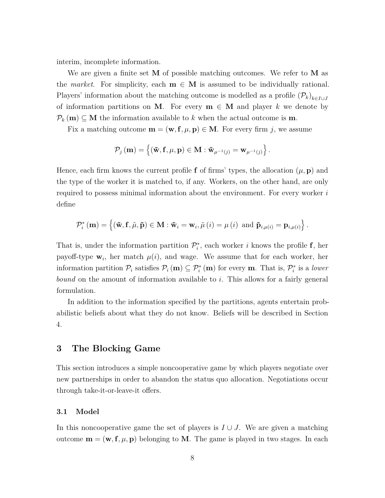interim, incomplete information.

We are given a finite set **M** of possible matching outcomes. We refer to **M** as the *market*. For simplicity, each  $m \in M$  is assumed to be individually rational. Players' information about the matching outcome is modelled as a profile  $(\mathcal{P}_k)_{k \in I \cup J}$ of information partitions on **M**. For every  $\mathbf{m} \in \mathbf{M}$  and player k we denote by  $\mathcal{P}_k(\mathbf{m}) \subseteq \mathbf{M}$  the information available to k when the actual outcome is **m**.

Fix a matching outcome  $\mathbf{m} = (\mathbf{w}, \mathbf{f}, \mu, \mathbf{p}) \in \mathbf{M}$ . For every firm *j*, we assume

$$
\mathcal{P}_j(\mathbf{m}) = \left\{ (\mathbf{\tilde{w}}, \mathbf{f}, \mu, \mathbf{p}) \in \mathbf{M} : \mathbf{\tilde{w}}_{\mu^{-1}(j)} = \mathbf{w}_{\mu^{-1}(j)} \right\}.
$$

Hence, each firm knows the current profile **f** of firms' types, the allocation  $(\mu, \mathbf{p})$  and the type of the worker it is matched to, if any. Workers, on the other hand, are only required to possess minimal information about the environment. For every worker *i* define

$$
\mathcal{P}_{i}^{*}(\mathbf{m}) = \left\{ (\mathbf{\tilde{w}}, \mathbf{f}, \tilde{\mu}, \mathbf{\tilde{p}}) \in \mathbf{M} : \mathbf{\tilde{w}}_{i} = \mathbf{w}_{i}, \tilde{\mu} \left( i \right) = \mu \left( i \right) \text{ and } \mathbf{\tilde{p}}_{i, \mu(i)} = \mathbf{p}_{i, \mu(i)} \right\}.
$$

That is, under the information partition  $\mathcal{P}_i^*$ , each worker *i* knows the profile **f**, her payoff-type  $\mathbf{w}_i$ , her match  $\mu(i)$ , and wage. We assume that for each worker, her information partition  $\mathcal{P}_i$  satisfies  $\mathcal{P}_i(\mathbf{m}) \subseteq \mathcal{P}_i^*(\mathbf{m})$  for every  $\mathbf{m}$ . That is,  $\mathcal{P}_i^*$  is a *lower bound* on the amount of information available to *i*. This allows for a fairly general formulation.

In addition to the information specified by the partitions, agents entertain probabilistic beliefs about what they do not know. Beliefs will be described in Section 4.

# **3 The Blocking Game**

This section introduces a simple noncooperative game by which players negotiate over new partnerships in order to abandon the status quo allocation. Negotiations occur through take-it-or-leave-it offers.

#### **3.1 Model**

In this noncooperative game the set of players is  $I \cup J$ . We are given a matching outcome  $\mathbf{m} = (\mathbf{w}, \mathbf{f}, \mu, \mathbf{p})$  belonging to **M**. The game is played in two stages. In each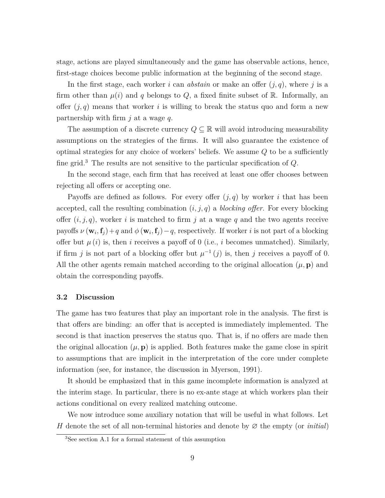stage, actions are played simultaneously and the game has observable actions, hence, first-stage choices become public information at the beginning of the second stage.

In the first stage, each worker *i* can *abstain* or make an offer (*j, q*), where *j* is a firm other than  $\mu(i)$  and  $q$  belongs to  $Q$ , a fixed finite subset of  $\mathbb{R}$ . Informally, an offer (*j, q*) means that worker *i* is willing to break the status quo and form a new partnership with firm *j* at a wage *q*.

The assumption of a discrete currency  $Q \subseteq \mathbb{R}$  will avoid introducing measurability assumptions on the strategies of the firms. It will also guarantee the existence of optimal strategies for any choice of workers' beliefs. We assume *Q* to be a sufficiently fine grid.<sup>3</sup> The results are not sensitive to the particular specification of *Q*.

In the second stage, each firm that has received at least one offer chooses between rejecting all offers or accepting one.

Payoffs are defined as follows. For every offer  $(j, q)$  by worker *i* that has been accepted, call the resulting combination  $(i, j, q)$  a *blocking offer*. For every blocking offer (*i, j, q*), worker *i* is matched to firm *j* at a wage *q* and the two agents receive payoffs  $\nu(\mathbf{w}_i, \mathbf{f}_j) + q$  and  $\phi(\mathbf{w}_i, \mathbf{f}_j) - q$ , respectively. If worker *i* is not part of a blocking offer but  $\mu(i)$  is, then *i* receives a payoff of 0 (i.e., *i* becomes unmatched). Similarly, if firm *j* is not part of a blocking offer but  $\mu^{-1}(j)$  is, then *j* receives a payoff of 0. All the other agents remain matched according to the original allocation  $(\mu, \mathbf{p})$  and obtain the corresponding payoffs.

#### **3.2 Discussion**

The game has two features that play an important role in the analysis. The first is that offers are binding: an offer that is accepted is immediately implemented. The second is that inaction preserves the status quo. That is, if no offers are made then the original allocation  $(\mu, \mathbf{p})$  is applied. Both features make the game close in spirit to assumptions that are implicit in the interpretation of the core under complete information (see, for instance, the discussion in Myerson, 1991).

It should be emphasized that in this game incomplete information is analyzed at the interim stage. In particular, there is no ex-ante stage at which workers plan their actions conditional on every realized matching outcome.

We now introduce some auxiliary notation that will be useful in what follows. Let *H* denote the set of all non-terminal histories and denote by ∅ the empty (or *initial*)

<sup>3</sup>See section A.1 for a formal statement of this assumption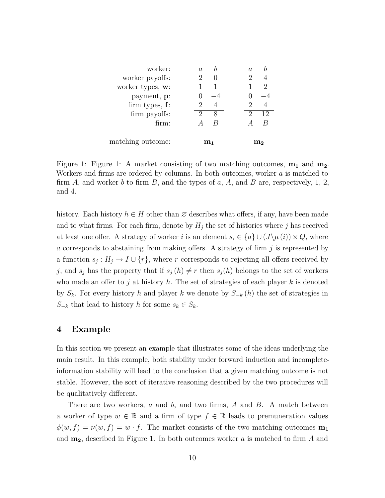| worker:             | A. | a       |
|---------------------|----|---------|
| worker payoffs:     |    |         |
| worker types, $w$ : |    | 9       |
| payment, p:         |    |         |
| firm types, $f$ :   |    | 2       |
| firm payoffs:       | 8  | 2<br>12 |
| firm:               | К  |         |
|                     |    |         |
| matching outcome:   | m1 | mə      |

Figure 1: Figure 1: A market consisting of two matching outcomes, **m<sup>1</sup>** and **m2**. Workers and firms are ordered by columns. In both outcomes, worker *a* is matched to firm *A*, and worker *b* to firm *B*, and the types of *a*, *A*, and *B* are, respectively, 1, 2, and 4.

history. Each history  $h \in H$  other than  $\varnothing$  describes what offers, if any, have been made and to what firms. For each firm, denote by  $H_j$  the set of histories where  $j$  has received at least one offer. A strategy of worker *i* is an element  $s_i \in \{a\} \cup (J\backslash \mu(i)) \times Q$ , where *a* corresponds to abstaining from making offers. A strategy of firm *j* is represented by a function  $s_j: H_j \to I \cup \{r\}$ , where *r* corresponds to rejecting all offers received by *j*, and  $s_j$  has the property that if  $s_j(h) \neq r$  then  $s_j(h)$  belongs to the set of workers who made an offer to *j* at history *h*. The set of strategies of each player *k* is denoted by *Sk*. For every history *h* and player *k* we denote by *S*<sup>−</sup>*<sup>k</sup>* (*h*) the set of strategies in *S*−*k* that lead to history *h* for some  $s_k \text{ ∈ } S_k$ .

## **4 Example**

In this section we present an example that illustrates some of the ideas underlying the main result. In this example, both stability under forward induction and incompleteinformation stability will lead to the conclusion that a given matching outcome is not stable. However, the sort of iterative reasoning described by the two procedures will be qualitatively different.

There are two workers, *a* and *b*, and two firms, *A* and *B*. A match between a worker of type  $w \in \mathbb{R}$  and a firm of type  $f \in \mathbb{R}$  leads to premuneration values  $\phi(w, f) = \nu(w, f) = w \cdot f$ . The market consists of the two matching outcomes  $\mathbf{m}_1$ and **m2**, described in Figure 1. In both outcomes worker *a* is matched to firm *A* and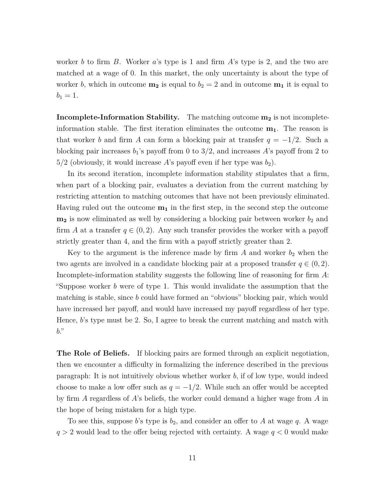worker *b* to firm *B*. Worker *a*'s type is 1 and firm *A*'s type is 2, and the two are matched at a wage of 0. In this market, the only uncertainty is about the type of worker *b*, which in outcome  $\mathbf{m_2}$  is equal to  $b_2 = 2$  and in outcome  $\mathbf{m_1}$  it is equal to  $b_1 = 1.$ 

**Incomplete-Information Stability.** The matching outcome **m<sup>2</sup>** is not incompleteinformation stable. The first iteration eliminates the outcome **m1**. The reason is that worker *b* and firm *A* can form a blocking pair at transfer  $q = -1/2$ . Such a blocking pair increases  $b_1$ 's payoff from 0 to  $3/2$ , and increases A's payoff from 2 to  $5/2$  (obviously, it would increase A's payoff even if her type was  $b_2$ ).

In its second iteration, incomplete information stability stipulates that a firm, when part of a blocking pair, evaluates a deviation from the current matching by restricting attention to matching outcomes that have not been previously eliminated. Having ruled out the outcome **m<sup>1</sup>** in the first step, in the second step the outcome  $m_2$  is now eliminated as well by considering a blocking pair between worker  $b_2$  and firm *A* at a transfer  $q \in (0, 2)$ . Any such transfer provides the worker with a payoff strictly greater than 4, and the firm with a payoff strictly greater than 2.

Key to the argument is the inference made by firm  $A$  and worker  $b_2$  when the two agents are involved in a candidate blocking pair at a proposed transfer  $q \in (0, 2)$ . Incomplete-information stability suggests the following line of reasoning for firm *A*: "Suppose worker *b* were of type 1. This would invalidate the assumption that the matching is stable, since *b* could have formed an "obvious" blocking pair, which would have increased her payoff, and would have increased my payoff regardless of her type. Hence, *b*'s type must be 2. So, I agree to break the current matching and match with *b*."

**The Role of Beliefs.** If blocking pairs are formed through an explicit negotiation, then we encounter a difficulty in formalizing the inference described in the previous paragraph: It is not intuitively obvious whether worker *b*, if of low type, would indeed choose to make a low offer such as  $q = -1/2$ . While such an offer would be accepted by firm *A* regardless of *A*'s beliefs, the worker could demand a higher wage from *A* in the hope of being mistaken for a high type.

To see this, suppose *b*'s type is *b*2, and consider an offer to *A* at wage *q*. A wage *q >* 2 would lead to the offer being rejected with certainty. A wage *q <* 0 would make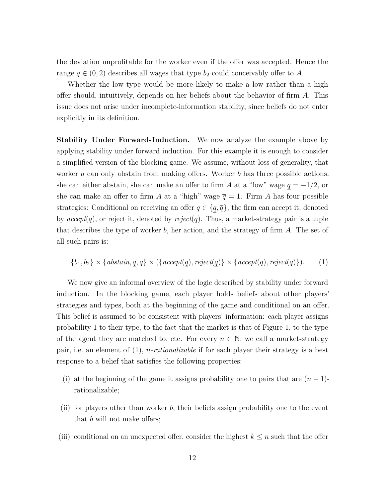the deviation unprofitable for the worker even if the offer was accepted. Hence the range  $q \in (0, 2)$  describes all wages that type  $b_2$  could conceivably offer to A.

Whether the low type would be more likely to make a low rather than a high offer should, intuitively, depends on her beliefs about the behavior of firm *A*. This issue does not arise under incomplete-information stability, since beliefs do not enter explicitly in its definition.

**Stability Under Forward-Induction.** We now analyze the example above by applying stability under forward induction. For this example it is enough to consider a simplified version of the blocking game. We assume, without loss of generality, that worker *a* can only abstain from making offers. Worker *b* has three possible actions: she can either abstain, she can make an offer to firm *A* at a "low" wage  $q = -1/2$ , or she can make an offer to firm *A* at a "high" wage  $\bar{q} = 1$ . Firm *A* has four possible strategies: Conditional on receiving an offer  $q \in \{q, \overline{q}\}\,$ , the firm can accept it, denoted by *accept*(*q*), or reject it, denoted by *reject*(*q*). Thus, a market-strategy pair is a tuple that describes the type of worker *b*, her action, and the strategy of firm *A*. The set of all such pairs is:

$$
\{b_1, b_2\} \times \{abstain, q, \overline{q}\} \times (\{accept(q), reject(q)\} \times \{accept(\overline{q}), reject(\overline{q})\}).
$$
 (1)

We now give an informal overview of the logic described by stability under forward induction. In the blocking game, each player holds beliefs about other players' strategies and types, both at the beginning of the game and conditional on an offer. This belief is assumed to be consistent with players' information: each player assigns probability 1 to their type, to the fact that the market is that of Figure 1, to the type of the agent they are matched to, etc. For every  $n \in \mathbb{N}$ , we call a market-strategy pair, i.e. an element of (1), *n-rationalizable* if for each player their strategy is a best response to a belief that satisfies the following properties:

- (i) at the beginning of the game it assigns probability one to pairs that are  $(n-1)$ rationalizable;
- (ii) for players other than worker *b*, their beliefs assign probability one to the event that *b* will not make offers;
- (iii) conditional on an unexpected offer, consider the highest  $k \leq n$  such that the offer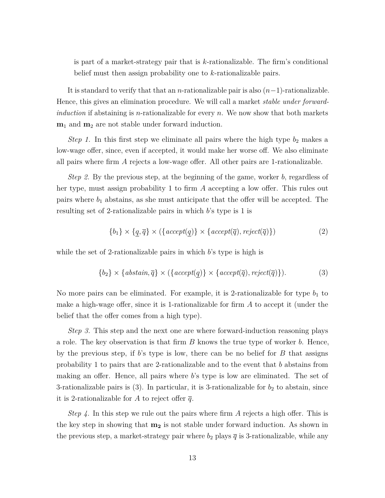is part of a market-strategy pair that is *k*-rationalizable. The firm's conditional belief must then assign probability one to *k*-rationalizable pairs.

It is standard to verify that that an *n*-rationalizable pair is also (*n*−1)-rationalizable. Hence, this gives an elimination procedure. We will call a market *stable under forwardinduction* if abstaining is *n*-rationalizable for every *n*. We now show that both markets **m**<sup>1</sup> and **m**<sup>2</sup> are not stable under forward induction.

*Step 1.* In this first step we eliminate all pairs where the high type  $b_2$  makes a low-wage offer, since, even if accepted, it would make her worse off. We also eliminate all pairs where firm *A* rejects a low-wage offer. All other pairs are 1-rationalizable.

*Step 2.* By the previous step, at the beginning of the game, worker *b*, regardless of her type, must assign probability 1 to firm *A* accepting a low offer. This rules out pairs where  $b_1$  abstains, as she must anticipate that the offer will be accepted. The resulting set of 2-rationalizable pairs in which *b*'s type is 1 is

$$
\{b_1\} \times \{q, \overline{q}\} \times (\{accept(q)\} \times \{accept(\overline{q}), reject(\overline{q})\})
$$
\n(2)

while the set of 2-rationalizable pairs in which *b*'s type is high is

$$
\{b_2\} \times \{abstain, \overline{q}\} \times (\{accept(q)\} \times \{accept(\overline{q}), reject(\overline{q})\}).
$$
 (3)

No more pairs can be eliminated. For example, it is 2-rationalizable for type  $b_1$  to make a high-wage offer, since it is 1-rationalizable for firm *A* to accept it (under the belief that the offer comes from a high type).

*Step 3.* This step and the next one are where forward-induction reasoning plays a role. The key observation is that firm *B* knows the true type of worker *b*. Hence, by the previous step, if *b*'s type is low, there can be no belief for *B* that assigns probability 1 to pairs that are 2-rationalizable and to the event that *b* abstains from making an offer. Hence, all pairs where *b*'s type is low are eliminated. The set of 3-rationalizable pairs is  $(3)$ . In particular, it is 3-rationalizable for  $b<sub>2</sub>$  to abstain, since it is 2-rationalizable for A to reject offer  $\bar{q}$ .

*Step 4.* In this step we rule out the pairs where firm *A* rejects a high offer. This is the key step in showing that **m<sup>2</sup>** is not stable under forward induction. As shown in the previous step, a market-strategy pair where  $b_2$  plays  $\overline{q}$  is 3-rationalizable, while any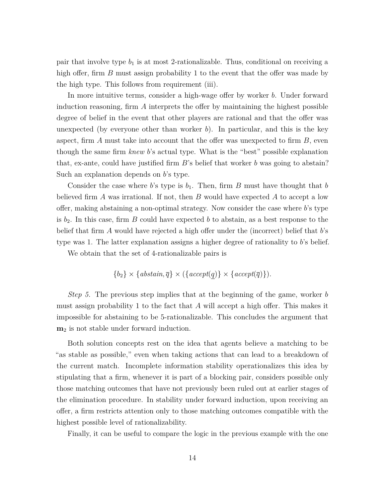pair that involve type  $b_1$  is at most 2-rationalizable. Thus, conditional on receiving a high offer, firm *B* must assign probability 1 to the event that the offer was made by the high type. This follows from requirement (iii).

In more intuitive terms, consider a high-wage offer by worker *b*. Under forward induction reasoning, firm *A* interprets the offer by maintaining the highest possible degree of belief in the event that other players are rational and that the offer was unexpected (by everyone other than worker  $b$ ). In particular, and this is the key aspect, firm *A* must take into account that the offer was unexpected to firm *B*, even though the same firm *knew b*'s actual type. What is the "best" possible explanation that, ex-ante, could have justified firm *B*'s belief that worker *b* was going to abstain? Such an explanation depends on *b*'s type.

Consider the case where *b*'s type is  $b_1$ . Then, firm *B* must have thought that *b* believed firm *A* was irrational. If not, then *B* would have expected *A* to accept a low offer, making abstaining a non-optimal strategy. Now consider the case where *b*'s type is  $b_2$ . In this case, firm *B* could have expected *b* to abstain, as a best response to the belief that firm *A* would have rejected a high offer under the (incorrect) belief that *b*'s type was 1. The latter explanation assigns a higher degree of rationality to *b*'s belief.

We obtain that the set of 4-rationalizable pairs is

$$
\{b_2\} \times \{abstain, \overline{q}\} \times (\{accept(q)\} \times \{accept(\overline{q})\}).
$$

*Step 5.* The previous step implies that at the beginning of the game, worker *b* must assign probability 1 to the fact that *A* will accept a high offer. This makes it impossible for abstaining to be 5-rationalizable. This concludes the argument that **m**<sup>2</sup> is not stable under forward induction.

Both solution concepts rest on the idea that agents believe a matching to be "as stable as possible," even when taking actions that can lead to a breakdown of the current match. Incomplete information stability operationalizes this idea by stipulating that a firm, whenever it is part of a blocking pair, considers possible only those matching outcomes that have not previously been ruled out at earlier stages of the elimination procedure. In stability under forward induction, upon receiving an offer, a firm restricts attention only to those matching outcomes compatible with the highest possible level of rationalizability.

Finally, it can be useful to compare the logic in the previous example with the one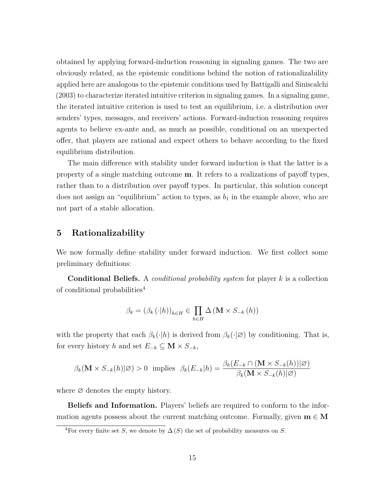obtained by applying forward-induction reasoning in signaling games. The two are obviously related, as the epistemic conditions behind the notion of rationalizability applied here are analogous to the epistemic conditions used by Battigalli and Siniscalchi (2003) to characterize iterated intuitive criterion in signaling games. In a signaling game, the iterated intuitive criterion is used to test an equilibrium, i.e. a distribution over senders' types, messages, and receivers' actions. Forward-induction reasoning requires agents to believe ex-ante and, as much as possible, conditional on an unexpected offer, that players are rational and expect others to behave according to the fixed equilibrium distribution.

The main difference with stability under forward induction is that the latter is a property of a single matching outcome **m**. It refers to a realizations of payoff types, rather than to a distribution over payoff types. In particular, this solution concept does not assign an "equilibrium" action to types, as  $b_1$  in the example above, who are not part of a stable allocation.

# **5 Rationalizability**

We now formally define stability under forward induction. We first collect some preliminary definitions:

**Conditional Beliefs.** A *conditional probability system* for player *k* is a collection of conditional probabilities<sup>4</sup>

$$
\beta_k = (\beta_k (\cdot | h))_{h \in H} \in \prod_{h \in H} \Delta \left( \mathbf{M} \times S_{-k} (h) \right)
$$

with the property that each  $\beta_k(\cdot|h)$  is derived from  $\beta_k(\cdot|\emptyset)$  by conditioning. That is, for every history *h* and set  $E_{-k} \subseteq M \times S_{-k}$ ,

$$
\beta_k(\mathbf{M} \times S_{-k}(h)|\varnothing) > 0 \text{ implies } \beta_k(E_{-k}|h) = \frac{\beta_k(E_{-k} \cap (\mathbf{M} \times S_{-k}(h))|\varnothing)}{\beta_k(\mathbf{M} \times S_{-k}(h)|\varnothing)}
$$

where  $\varnothing$  denotes the empty history.

**Beliefs and Information.** Players' beliefs are required to conform to the information agents possess about the current matching outcome. Formally, given  $\mathbf{m} \in \mathbf{M}$ 

<sup>&</sup>lt;sup>4</sup>For every finite set *S*, we denote by  $\Delta(S)$  the set of probability measures on *S*.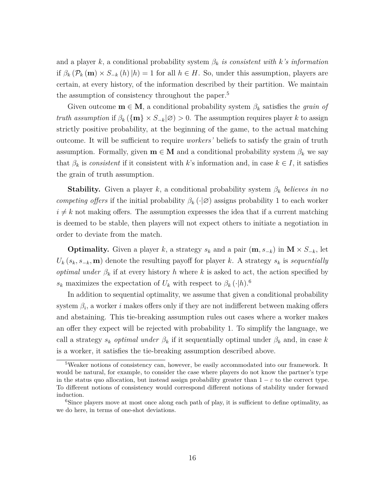and a player  $k$ , a conditional probability system  $\beta_k$  *is consistent with*  $k$ *'s information* if  $\beta_k$  ( $\mathcal{P}_k$  (**m**) ×  $S_{-k}$  (*h*) |*h*) = 1 for all *h* ∈ *H*. So, under this assumption, players are certain, at every history, of the information described by their partition. We maintain the assumption of consistency throughout the paper.<sup>5</sup>

Given outcome  $\mathbf{m} \in \mathbf{M}$ , a conditional probability system  $\beta_k$  satisfies the *grain of truth assumption* if  $\beta_k(\{\mathbf{m}\}\times S_{-k}|\varnothing) > 0$ . The assumption requires player *k* to assign strictly positive probability, at the beginning of the game, to the actual matching outcome. It will be sufficient to require *workers'* beliefs to satisfy the grain of truth assumption. Formally, given  $\mathbf{m} \in \mathbf{M}$  and a conditional probability system  $\beta_k$  we say that  $\beta_k$  is *consistent* if it consistent with *k*'s information and, in case  $k \in I$ , it satisfies the grain of truth assumption.

**Stability.** Given a player *k*, a conditional probability system *β<sup>k</sup> believes in no competing offers* if the initial probability  $\beta_k(\cdot|\emptyset)$  assigns probability 1 to each worker  $i \neq k$  not making offers. The assumption expresses the idea that if a current matching is deemed to be stable, then players will not expect others to initiate a negotiation in order to deviate from the match.

**Optimality.** Given a player *k*, a strategy  $s_k$  and a pair  $(\mathbf{m}, s_{-k})$  in  $\mathbf{M} \times S_{-k}$ , let  $U_k(s_k, s_{-k}, \mathbf{m})$  denote the resulting payoff for player *k*. A strategy  $s_k$  is *sequentially optimal under*  $\beta_k$  if at every history *h* where *k* is asked to act, the action specified by  $s_k$  maximizes the expectation of  $U_k$  with respect to  $\beta_k(\cdot|h)$ .<sup>6</sup>

In addition to sequential optimality, we assume that given a conditional probability system  $\beta_i$ , a worker *i* makes offers only if they are not indifferent between making offers and abstaining. This tie-breaking assumption rules out cases where a worker makes an offer they expect will be rejected with probability 1. To simplify the language, we call a strategy  $s_k$  *optimal under*  $\beta_k$  if it sequentially optimal under  $\beta_k$  and, in case k is a worker, it satisfies the tie-breaking assumption described above.

<sup>&</sup>lt;sup>5</sup>Weaker notions of consistency can, however, be easily accommodated into our framework. It would be natural, for example, to consider the case where players do not know the partner's type in the status quo allocation, but instead assign probability greater than  $1 - \varepsilon$  to the correct type. To different notions of consistency would correspond different notions of stability under forward induction.

<sup>&</sup>lt;sup>6</sup>Since players move at most once along each path of play, it is sufficient to define optimality, as we do here, in terms of one-shot deviations.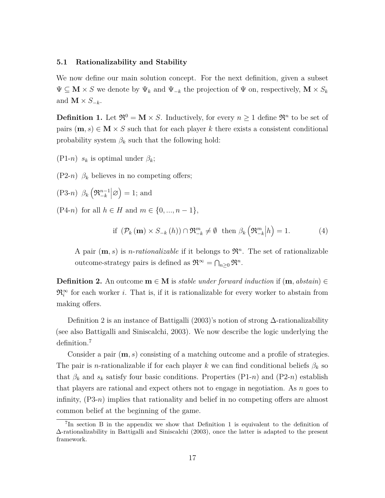#### **5.1 Rationalizability and Stability**

We now define our main solution concept. For the next definition, given a subset  $\Psi ⊆ M × S$  we denote by  $\Psi_k$  and  $\Psi_{-k}$  the projection of  $\Psi$  on, respectively,  $M × S_k$ and  $\mathbf{M} \times S_{-k}$ .

**Definition 1.** Let  $\mathfrak{R}^0 = \mathbf{M} \times S$ . Inductively, for every  $n \geq 1$  define  $\mathfrak{R}^n$  to be set of pairs  $(m, s) \in M \times S$  such that for each player k there exists a consistent conditional probability system  $\beta_k$  such that the following hold:

(P1-*n*)  $s_k$  is optimal under  $\beta_k$ ;

 $(P2-n)$   $\beta_k$  believes in no competing offers;

 $(P3-n)$   $\beta_k \left( \mathfrak{R}_{-k}^{n-1} \middle| \varnothing \right) = 1$ ; and

(P4-*n*) for all  $h \in H$  and  $m \in \{0, ..., n-1\}$ ,

if 
$$
(\mathcal{P}_k(\mathbf{m}) \times S_{-k}(h)) \cap \mathfrak{R}_{-k}^m \neq \emptyset
$$
 then  $\beta_k(\mathfrak{R}_{-k}^m|h) = 1.$  (4)

A pair  $(m, s)$  is *n*-*rationalizable* if it belongs to  $\mathfrak{R}^n$ . The set of rationalizable outcome-strategy pairs is defined as  $\mathfrak{R}^{\infty} = \bigcap_{n \geq 0} \mathfrak{R}^n$ .

**Definition 2.** An outcome  $\mathbf{m} \in \mathbf{M}$  is *stable under forward induction* if  $(\mathbf{m}, abstain) \in$  $\mathfrak{R}^{\infty}_i$  for each worker *i*. That is, if it is rationalizable for every worker to abstain from making offers.

Definition 2 is an instance of Battigalli (2003)'s notion of strong  $\Delta$ -rationalizability (see also Battigalli and Siniscalchi, 2003). We now describe the logic underlying the definition.<sup>7</sup>

Consider a pair (**m***, s*) consisting of a matching outcome and a profile of strategies. The pair is *n*-rationalizable if for each player *k* we can find conditional beliefs  $\beta_k$  so that  $\beta_k$  and  $s_k$  satisfy four basic conditions. Properties (P1-*n*) and (P2-*n*) establish that players are rational and expect others not to engage in negotiation. As *n* goes to infinity, (P3-*n*) implies that rationality and belief in no competing offers are almost common belief at the beginning of the game.

<sup>7</sup> In section B in the appendix we show that Definition 1 is equivalent to the definition of ∆-rationalizability in Battigalli and Siniscalchi (2003), once the latter is adapted to the present framework.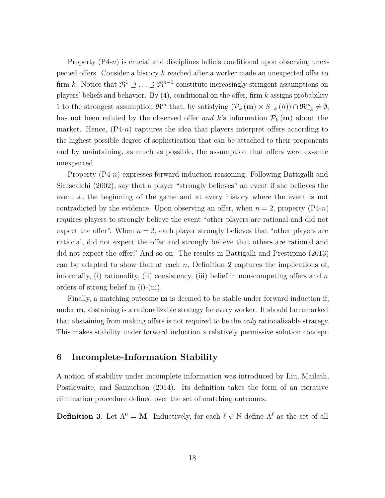Property  $(P4-n)$  is crucial and disciplines beliefs conditional upon observing unexpected offers. Consider a history *h* reached after a worker made an unexpected offer to firm *k*. Notice that  $\mathfrak{R}^1 \supseteq \ldots \supseteq \mathfrak{R}^{n-1}$  constitute increasingly stringent assumptions on players' beliefs and behavior. By (4), conditional on the offer, firm *k* assigns probability 1 to the strongest assumption  $\mathfrak{R}^m$  that, by satisfying  $(\mathcal{P}_k(\mathbf{m}) \times S_{-k}(h)) \cap \mathfrak{R}_{-k}^m \neq \emptyset$ , has not been refuted by the observed offer and k's information  $\mathcal{P}_k(\mathbf{m})$  about the market. Hence,  $(P4-n)$  captures the idea that players interpret offers according to the highest possible degree of sophistication that can be attached to their proponents and by maintaining, as much as possible, the assumption that offers were ex-ante unexpected.

Property (P4-*n*) expresses forward-induction reasoning. Following Battigalli and Siniscalchi (2002), say that a player "strongly believes" an event if she believes the event at the beginning of the game and at every history where the event is not contradicted by the evidence. Upon observing an offer, when  $n = 2$ , property (P4-*n*) requires players to strongly believe the event "other players are rational and did not expect the offer". When  $n = 3$ , each player strongly believes that "other players are rational, did not expect the offer and strongly believe that others are rational and did not expect the offer." And so on. The results in Battigalli and Prestipino (2013) can be adapted to show that at each *n*, Definition 2 captures the implications of, informally, (i) rationality, (ii) consistency, (iii) belief in non-competing offers and *n* orders of strong belief in (i)-(iii).

Finally, a matching outcome **m** is deemed to be stable under forward induction if, under **m**, abstaining is a rationalizable strategy for every worker. It should be remarked that abstaining from making offers is not required to be the *only* rationalizable strategy. This makes stability under forward induction a relatively permissive solution concept.

# **6 Incomplete-Information Stability**

A notion of stability under incomplete information was introduced by Liu, Mailath, Postlewaite, and Samuelson (2014). Its definition takes the form of an iterative elimination procedure defined over the set of matching outcomes.

**Definition 3.** Let  $\Lambda^0 = M$ . Inductively, for each  $\ell \in \mathbb{N}$  define  $\Lambda^{\ell}$  as the set of all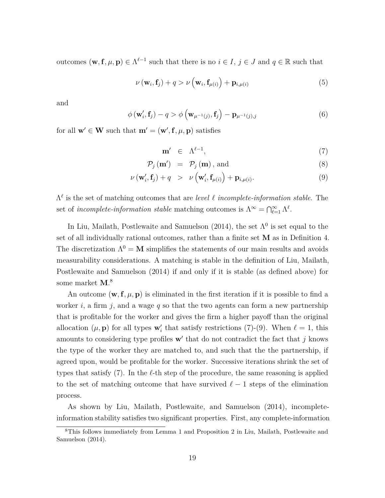outcomes  $(\mathbf{w}, \mathbf{f}, \mu, \mathbf{p}) \in \Lambda^{\ell-1}$  such that there is no  $i \in I, j \in J$  and  $q \in \mathbb{R}$  such that

$$
\nu(\mathbf{w}_i, \mathbf{f}_j) + q > \nu\left(\mathbf{w}_i, \mathbf{f}_{\mu(i)}\right) + \mathbf{p}_{i, \mu(i)}
$$
(5)

and

$$
\phi(\mathbf{w}'_i, \mathbf{f}_j) - q > \phi\left(\mathbf{w}_{\mu^{-1}(j)}, \mathbf{f}_j\right) - \mathbf{p}_{\mu^{-1}(j),j} \tag{6}
$$

for all  $\mathbf{w}' \in \mathbf{W}$  such that  $\mathbf{m}' = (\mathbf{w}', \mathbf{f}, \mu, \mathbf{p})$  satisfies

$$
\mathbf{m}' \in \Lambda^{\ell-1},\tag{7}
$$

$$
\mathcal{P}_j(\mathbf{m}') = \mathcal{P}_j(\mathbf{m}), \text{ and}
$$
\n(8)

$$
\nu(\mathbf{w}'_i, \mathbf{f}_j) + q > \nu(\mathbf{w}'_i, \mathbf{f}_{\mu(i)}) + \mathbf{p}_{i, \mu(i)}.
$$
\n(9)

Λ *`* is the set of matching outcomes that are *level ` incomplete-information stable*. The set of *incomplete-information stable* matching outcomes is  $\Lambda^{\infty} = \bigcap_{\ell=1}^{\infty} \Lambda^{\ell}$ .

In Liu, Mailath, Postlewaite and Samuelson (2014), the set  $\Lambda^0$  is set equal to the set of all individually rational outcomes, rather than a finite set **M** as in Definition 4. The discretization  $\Lambda^0 = M$  simplifies the statements of our main results and avoids measurability considerations. A matching is stable in the definition of Liu, Mailath, Postlewaite and Samuelson (2014) if and only if it is stable (as defined above) for some market **M**. 8

An outcome  $(\mathbf{w}, \mathbf{f}, \mu, \mathbf{p})$  is eliminated in the first iteration if it is possible to find a worker *i*, a firm *j*, and a wage *q* so that the two agents can form a new partnership that is profitable for the worker and gives the firm a higher payoff than the original allocation  $(\mu, \mathbf{p})$  for all types  $\mathbf{w}'_i$  that satisfy restrictions (7)-(9). When  $\ell = 1$ , this amounts to considering type profiles  $\mathbf{w}'$  that do not contradict the fact that  $j$  knows the type of the worker they are matched to, and such that the the partnership, if agreed upon, would be profitable for the worker. Successive iterations shrink the set of types that satisfy  $(7)$ . In the  $\ell$ -th step of the procedure, the same reasoning is applied to the set of matching outcome that have survived  $\ell - 1$  steps of the elimination process.

As shown by Liu, Mailath, Postlewaite, and Samuelson (2014), incompleteinformation stability satisfies two significant properties. First, any complete-information

<sup>8</sup>This follows immediately from Lemma 1 and Proposition 2 in Liu, Mailath, Postlewaite and Samuelson (2014).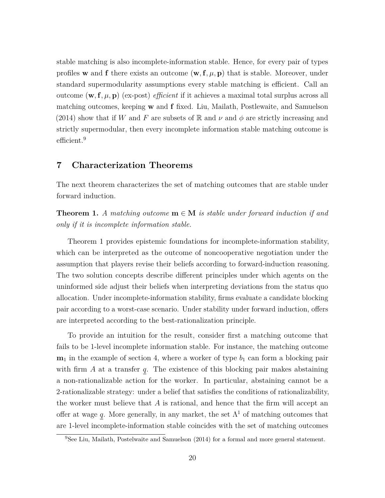stable matching is also incomplete-information stable. Hence, for every pair of types profiles **w** and **f** there exists an outcome  $(\mathbf{w}, \mathbf{f}, \mu, \mathbf{p})$  that is stable. Moreover, under standard supermodularity assumptions every stable matching is efficient. Call an outcome  $(\mathbf{w}, \mathbf{f}, \mu, \mathbf{p})$  (ex-post) *efficient* if it achieves a maximal total surplus across all matching outcomes, keeping **w** and **f** fixed. Liu, Mailath, Postlewaite, and Samuelson (2014) show that if *W* and *F* are subsets of R and  $\nu$  and  $\phi$  are strictly increasing and strictly supermodular, then every incomplete information stable matching outcome is efficient.<sup>9</sup>

## **7 Characterization Theorems**

The next theorem characterizes the set of matching outcomes that are stable under forward induction.

**Theorem 1.** *A matching outcome*  $\mathbf{m} \in \mathbf{M}$  *is stable under forward induction if and only if it is incomplete information stable.*

Theorem 1 provides epistemic foundations for incomplete-information stability, which can be interpreted as the outcome of noncooperative negotiation under the assumption that players revise their beliefs according to forward-induction reasoning. The two solution concepts describe different principles under which agents on the uninformed side adjust their beliefs when interpreting deviations from the status quo allocation. Under incomplete-information stability, firms evaluate a candidate blocking pair according to a worst-case scenario. Under stability under forward induction, offers are interpreted according to the best-rationalization principle.

To provide an intuition for the result, consider first a matching outcome that fails to be 1-level incomplete information stable. For instance, the matching outcome  $m_1$  in the example of section 4, where a worker of type  $b_1$  can form a blocking pair with firm *A* at a transfer *q*. The existence of this blocking pair makes abstaining a non-rationalizable action for the worker. In particular, abstaining cannot be a 2-rationalizable strategy: under a belief that satisfies the conditions of rationalizability, the worker must believe that *A* is rational, and hence that the firm will accept an offer at wage *q*. More generally, in any market, the set  $\Lambda^1$  of matching outcomes that are 1-level incomplete-information stable coincides with the set of matching outcomes

<sup>9</sup>See Liu, Mailath, Postelwaite and Samuelson (2014) for a formal and more general statement.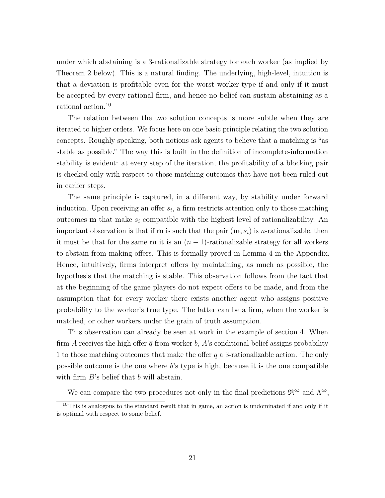under which abstaining is a 3-rationalizable strategy for each worker (as implied by Theorem 2 below). This is a natural finding. The underlying, high-level, intuition is that a deviation is profitable even for the worst worker-type if and only if it must be accepted by every rational firm, and hence no belief can sustain abstaining as a rational action.<sup>10</sup>

The relation between the two solution concepts is more subtle when they are iterated to higher orders. We focus here on one basic principle relating the two solution concepts. Roughly speaking, both notions ask agents to believe that a matching is "as stable as possible." The way this is built in the definition of incomplete-information stability is evident: at every step of the iteration, the profitability of a blocking pair is checked only with respect to those matching outcomes that have not been ruled out in earlier steps.

The same principle is captured, in a different way, by stability under forward induction. Upon receiving an offer *s<sup>i</sup>* , a firm restricts attention only to those matching outcomes **m** that make *s<sup>i</sup>* compatible with the highest level of rationalizability. An important observation is that if **m** is such that the pair  $(\mathbf{m}, s_i)$  is *n*-rationalizable, then it must be that for the same **m** it is an  $(n-1)$ -rationalizable strategy for all workers to abstain from making offers. This is formally proved in Lemma 4 in the Appendix. Hence, intuitively, firms interpret offers by maintaining, as much as possible, the hypothesis that the matching is stable. This observation follows from the fact that at the beginning of the game players do not expect offers to be made, and from the assumption that for every worker there exists another agent who assigns positive probability to the worker's true type. The latter can be a firm, when the worker is matched, or other workers under the grain of truth assumption.

This observation can already be seen at work in the example of section 4. When firm *A* receives the high offer  $\bar{q}$  from worker *b*, *A*'s conditional belief assigns probability 1 to those matching outcomes that make the offer  $\bar{q}$  a 3-rationalizable action. The only possible outcome is the one where *b*'s type is high, because it is the one compatible with firm *B*'s belief that *b* will abstain.

We can compare the two procedures not only in the final predictions  $\mathfrak{R}^{\infty}$  and  $\Lambda^{\infty}$ ,

<sup>&</sup>lt;sup>10</sup>This is analogous to the standard result that in game, an action is undominated if and only if it is optimal with respect to some belief.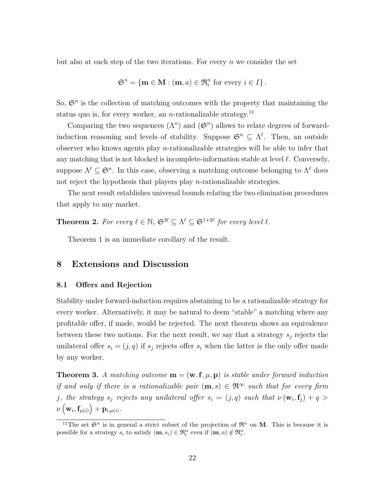but also at each step of the two iterations. For every *n* we consider the set

$$
\mathfrak{S}^n = \{ \mathbf{m} \in \mathbf{M} : (\mathbf{m}, a) \in \mathfrak{R}_i^n \text{ for every } i \in I \}.
$$

So,  $\mathfrak{S}^n$  is the collection of matching outcomes with the property that maintaining the status quo is, for every worker, an *n*-rationalizable strategy.<sup>11</sup>

Comparing the two sequences  $(\Lambda^n)$  and  $(\mathfrak{S}^n)$  allows to relate degrees of forwardinduction reasoning and levels of stability. Suppose  $\mathfrak{S}^n \subseteq \Lambda^{\ell}$ . Then, an outside observer who knows agents play *n*-rationalizable strategies will be able to infer that any matching that is not blocked is incomplete-information stable at level  $\ell$ . Conversely, suppose  $\Lambda^{\ell} \subseteq \mathfrak{S}^n$ . In this case, observing a matching outcome belonging to  $\Lambda^{\ell}$  does not reject the hypothesis that players play *n*-rationalizable strategies.

The next result establishes universal bounds relating the two elimination procedures that apply to any market.

**Theorem 2.** For every  $\ell \in \mathbb{N}$ ,  $\mathfrak{S}^{3\ell} \subseteq \Lambda^{\ell} \subseteq \mathfrak{S}^{1+2\ell}$  for every level  $\ell$ .

Theorem 1 is an immediate corollary of the result.

# **8 Extensions and Discussion**

#### **8.1 Offers and Rejection**

Stability under forward-induction requires abstaining to be a rationalizable strategy for every worker. Alternatively, it may be natural to deem "stable" a matching where any profitable offer, if made, would be rejected. The next theorem shows an equivalence between these two notions. For the next result, we say that a strategy  $s_j$  rejects the unilateral offer  $s_i = (j, q)$  if  $s_j$  rejects offer  $s_i$  when the latter is the only offer made by any worker.

**Theorem 3.** A matching outcome  $\mathbf{m} = (\mathbf{w}, \mathbf{f}, \mu, \mathbf{p})$  is stable under forward induction *if and only if there is a rationalizable pair*  $(m, s) \in \mathbb{R}^{\infty}$  such that for every firm *j*, the strategy  $s_j$  rejects any unilateral offer  $s_i = (j, q)$  such that  $\nu(\mathbf{w}_i, \mathbf{f}_j) + q >$  $\nu\left(\mathbf{w}_i,\mathbf{f}_{\mu(i)}\right)+\mathbf{p}_{i,\mu(i)}.$ 

<sup>&</sup>lt;sup>11</sup>The set  $\mathfrak{S}^n$  is in general a strict subset of the projection of  $\mathfrak{R}^n$  on **M**. This is because it is possible for a strategy  $s_i$  to satisfy  $(\mathbf{m}, s_i) \in \mathfrak{R}_i^n$  even if  $(\mathbf{m}, a) \notin \mathfrak{R}_i^n$ .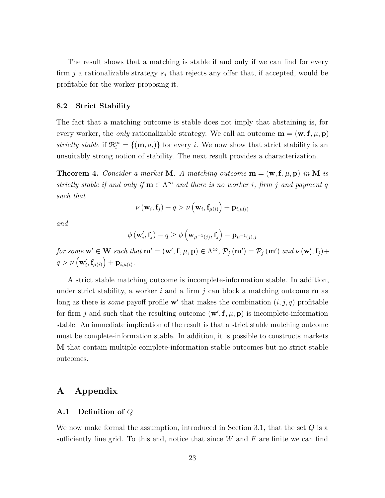The result shows that a matching is stable if and only if we can find for every firm  $j$  a rationalizable strategy  $s_j$  that rejects any offer that, if accepted, would be profitable for the worker proposing it.

#### **8.2 Strict Stability**

The fact that a matching outcome is stable does not imply that abstaining is, for every worker, the *only* rationalizable strategy. We call an outcome  $\mathbf{m} = (\mathbf{w}, \mathbf{f}, \mu, \mathbf{p})$ *strictly stable* if  $\mathfrak{R}_{i}^{\infty} = \{(\mathbf{m}, a_{i})\}$  for every *i*. We now show that strict stability is an unsuitably strong notion of stability. The next result provides a characterization.

**Theorem 4.** *Consider a market* **M***. A matching outcome*  $\mathbf{m} = (\mathbf{w}, \mathbf{f}, \mu, \mathbf{p})$  *in* **M** *is strictly stable if and only if*  $\mathbf{m} \in \Lambda^{\infty}$  *and there is no worker i, firm j and payment q such that*

$$
\nu\left(\mathbf{w}_i, \mathbf{f}_j\right) + q > \nu\left(\mathbf{w}_i, \mathbf{f}_{\mu(i)}\right) + \mathbf{p}_{i, \mu(i)}
$$

*and*

$$
\phi(\mathbf{w}'_i, \mathbf{f}_j) - q \ge \phi\left(\mathbf{w}_{\mu^{-1}(j)}, \mathbf{f}_j\right) - \mathbf{p}_{\mu^{-1}(j), j}
$$

for some  $\mathbf{w}' \in \mathbf{W}$  such that  $\mathbf{m}' = (\mathbf{w}', \mathbf{f}, \mu, \mathbf{p}) \in \Lambda^{\infty}$ ,  $\mathcal{P}_j(\mathbf{m}') = \mathcal{P}_j(\mathbf{m}')$  and  $\nu(\mathbf{w}'_i, \mathbf{f}_j) + \mathcal{P}_j(\mathbf{m}')$  $q > \nu\left(\mathbf{w}_i', \mathbf{f}_{\mu(i)}\right) + \mathbf{p}_{i, \mu(i)}.$ 

A strict stable matching outcome is incomplete-information stable. In addition, under strict stability, a worker  $i$  and a firm  $j$  can block a matching outcome  $\bf{m}$  as long as there is *some* payoff profile  $\mathbf{w}'$  that makes the combination  $(i, j, q)$  profitable for firm *j* and such that the resulting outcome  $(\mathbf{w}', \mathbf{f}, \mu, \mathbf{p})$  is incomplete-information stable. An immediate implication of the result is that a strict stable matching outcome must be complete-information stable. In addition, it is possible to constructs markets **M** that contain multiple complete-information stable outcomes but no strict stable outcomes.

# **A Appendix**

#### **A.1 Definition of** *Q*

We now make formal the assumption, introduced in Section 3.1, that the set *Q* is a sufficiently fine grid. To this end, notice that since *W* and *F* are finite we can find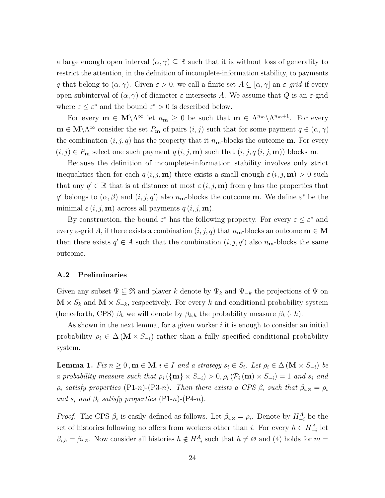a large enough open interval  $(\alpha, \gamma) \subseteq \mathbb{R}$  such that it is without loss of generality to restrict the attention, in the definition of incomplete-information stability, to payments *q* that belong to  $(\alpha, \gamma)$ . Given  $\varepsilon > 0$ , we call a finite set  $A \subseteq [\alpha, \gamma]$  an  $\varepsilon$ -grid if every open subinterval of  $(\alpha, \gamma)$  of diameter  $\varepsilon$  intersects A. We assume that Q is an  $\varepsilon$ -grid where  $\varepsilon \leq \varepsilon^*$  and the bound  $\varepsilon^* > 0$  is described below.

For every  $\mathbf{m} \in \mathbf{M}\setminus\Lambda^{\infty}$  let  $n_{\mathbf{m}} \geq 0$  be such that  $\mathbf{m} \in \Lambda^{n_{\mathbf{m}}}\setminus\Lambda^{n_{\mathbf{m}}+1}$ . For every  $\mathbf{m} \in \mathbf{M} \setminus \Lambda^{\infty}$  consider the set  $P_{\mathbf{m}}$  of pairs  $(i, j)$  such that for some payment  $q \in (\alpha, \gamma)$ the combination  $(i, j, q)$  has the property that it  $n_{\mathbf{m}}$ -blocks the outcome **m**. For every  $(i, j) \in P_m$  select one such payment  $q(i, j, m)$  such that  $(i, j, q(i, j, m))$  blocks m.

Because the definition of incomplete-information stability involves only strict inequalities then for each  $q(i, j, m)$  there exists a small enough  $\varepsilon(i, j, m) > 0$  such that any  $q' \in \mathbb{R}$  that is at distance at most  $\varepsilon$  (*i, j,* **m**) from *q* has the properties that *q*<sup>*d*</sup> belongs to  $(\alpha, \beta)$  and  $(i, j, q')$  also *n*<sub>**m**</sub>-blocks the outcome **m**. We define  $\varepsilon^*$  be the minimal  $\varepsilon$  (*i*, *j*, **m**) across all payments  $q$  (*i*, *j*, **m**).

By construction, the bound  $\varepsilon^*$  has the following property. For every  $\varepsilon \leq \varepsilon^*$  and every  $\varepsilon$ -grid A, if there exists a combination  $(i, j, q)$  that  $n_{\mathbf{m}}$ -blocks an outcome  $\mathbf{m} \in \mathbf{M}$ then there exists  $q' \in A$  such that the combination  $(i, j, q')$  also  $n_{\mathbf{m}}$ -blocks the same outcome.

#### **A.2 Preliminaries**

Given any subset  $\Psi \subseteq \mathfrak{R}$  and player *k* denote by  $\Psi_k$  and  $\Psi_{-k}$  the projections of  $\Psi$  on  $\mathbf{M} \times S_k$  and  $\mathbf{M} \times S_{-k}$ , respectively. For every *k* and conditional probability system (henceforth, CPS)  $\beta_k$  we will denote by  $\beta_{k,h}$  the probability measure  $\beta_k(\cdot|h)$ .

As shown in the next lemma, for a given worker *i* it is enough to consider an initial probability  $\rho_i \in \Delta(\mathbf{M} \times S_{-i})$  rather than a fully specified conditional probability system.

**Lemma 1.** *Fix*  $n \geq 0$ ,  $m \in M$ ,  $i \in I$  *and a strategy*  $s_i \in S_i$ *. Let*  $\rho_i \in \Delta(M \times S_{-i})$  *be a probability measure such that*  $\rho_i$  ({**m**}  $\times$  *S*<sub>−*i*</sub>)  $> 0$ ,  $\rho_i$  ( $\mathcal{P}_i$  (**m**)  $\times$  *S*<sub>−*i*</sub>) = 1 *and s<sub>i</sub> and*  $\rho_i$  *satisfy properties* (P1-*n*)-(P3-*n*)*. Then there exists a CPS*  $\beta_i$  *such that*  $\beta_{i, \emptyset} = \rho_i$ *and*  $s_i$  *and*  $\beta_i$  *satisfy properties* (P1-*n*)-(P4-*n*)*.* 

*Proof.* The CPS  $\beta_i$  is easily defined as follows. Let  $\beta_{i, \emptyset} = \rho_i$ . Denote by  $H_{-i}^A$  be the set of histories following no offers from workers other than *i*. For every  $h \in H_{-i}^A$  let  $\beta_{i,h} = \beta_{i,\emptyset}$ . Now consider all histories  $h \notin H_{-i}^A$  such that  $h \neq \emptyset$  and (4) holds for  $m =$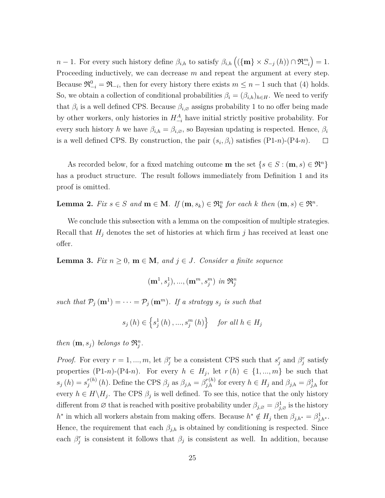*n* − 1. For every such history define  $\beta_{i,h}$  to satisfy  $\beta_{i,h}$  ( $(\{\mathbf{m}\}\times S_{-j}(h)) \cap \mathfrak{R}_{-i}^m$ ) = 1. Proceeding inductively, we can decrease  $m$  and repeat the argument at every step. Because  $\mathfrak{R}_{-i}^0 = \mathfrak{R}_{-i}$ , then for every history there exists  $m \leq n-1$  such that (4) holds. So, we obtain a collection of conditional probabilities  $\beta_i = (\beta_{i,h})_{h \in H}$ . We need to verify that  $\beta_i$  is a well defined CPS. Because  $\beta_{i,\varnothing}$  assigns probability 1 to no offer being made by other workers, only histories in  $H_{-i}^A$  have initial strictly positive probability. For every such history *h* we have  $\beta_{i,h} = \beta_{i,\varnothing}$ , so Bayesian updating is respected. Hence,  $\beta_i$ is a well defined CPS. By construction, the pair  $(s_i, \beta_i)$  satisfies  $(P1-n)-(P4-n)$ .  $\Box$ 

As recorded below, for a fixed matching outcome **m** the set  $\{s \in S : (\mathbf{m}, s) \in \mathbb{R}^n\}$ has a product structure. The result follows immediately from Definition 1 and its proof is omitted.

**Lemma 2.** *Fix*  $s \in S$  *and*  $\mathbf{m} \in \mathbf{M}$ *. If*  $(\mathbf{m}, s_k) \in \mathfrak{R}_k^n$  *for each*  $k$  *then*  $(\mathbf{m}, s) \in \mathfrak{R}^n$ *.* 

We conclude this subsection with a lemma on the composition of multiple strategies. Recall that  $H_j$  denotes the set of histories at which firm  $j$  has received at least one offer.

**Lemma 3.** *Fix*  $n \geq 0$ ,  $m \in M$ , and  $j \in J$ . Consider a finite sequence

$$
(\mathbf{m}^1,s_j^1),...,(\mathbf{m}^m,s_j^m) \text{ in } \mathfrak{R}_j^n
$$

*such that*  $\mathcal{P}_j(\mathbf{m}^1) = \cdots = \mathcal{P}_j(\mathbf{m}^m)$ *. If a strategy*  $s_j$  *is such that* 

$$
s_j(h) \in \left\{ s_j^1(h), ..., s_j^m(h) \right\} \quad \text{for all } h \in H_j
$$

*then*  $(\mathbf{m}, s_j)$  *belongs to*  $\mathfrak{R}_j^n$ .

*Proof.* For every  $r = 1, ..., m$ , let  $\beta_j^r$  be a consistent CPS such that  $s_j^r$  and  $\beta_j^r$  satisfy properties  $(P1-n)-(P4-n)$ . For every  $h \in H_j$ , let  $r(h) \in \{1, ..., m\}$  be such that  $s_j(h) = s_j^{r(h)}$ *f*<sup>(*h*)</sup> (*h*). Define the CPS  $\beta_j$  as  $\beta_{j,h} = \beta_{j,h}^{r(h)}$  for every  $h \in H_j$  and  $\beta_{j,h} = \beta_{j,h}^1$  for every  $h \in H \backslash H_j$ . The CPS  $\beta_j$  is well defined. To see this, notice that the only history different from  $\emptyset$  that is reached with positive probability under  $\beta_{j,\emptyset} = \beta_{j,\emptyset}^1$  is the history  $h^*$  in which all workers abstain from making offers. Because  $h^* \notin H_j$  then  $\beta_{j,h^*} = \beta_{j,h^*}^1$ . Hence, the requirement that each  $\beta_{j,h}$  is obtained by conditioning is respected. Since each  $\beta_j^r$  is consistent it follows that  $\beta_j$  is consistent as well. In addition, because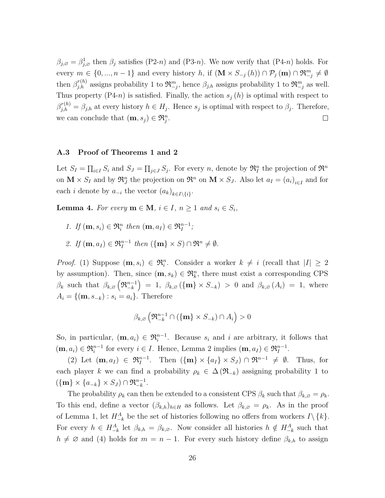$\beta_{j,\varnothing} = \beta_{j,\varnothing}^1$  then  $\beta_j$  satisfies (P2-*n*) and (P3-*n*). We now verify that (P4-*n*) holds. For every  $m \in \{0, ..., n-1\}$  and every history  $h$ , if  $(\mathbf{M} \times S_{-j}(h)) \cap \mathcal{P}_j(\mathbf{m}) \cap \mathfrak{R}_{-j}^m \neq \emptyset$ then  $\beta^{r(h)}_{j,h}$  assigns probability 1 to  $\mathfrak{R}_{-j}^m$ , hence  $\beta_{j,h}$  assigns probability 1 to  $\mathfrak{R}_{-j}^m$  as well. Thus property  $(P4-n)$  is satisfied. Finally, the action  $s_j(h)$  is optimal with respect to  $\beta_{j,h}^{r(h)} = \beta_{j,h}$  at every history  $h \in H_j$ . Hence  $s_j$  is optimal with respect to  $\beta_j$ . Therefore, we can conclude that  $(\mathbf{m}, s_j) \in \mathfrak{R}_j^n$ .  $\Box$ 

#### **A.3 Proof of Theorems 1 and 2**

Let  $S_I = \prod_{i \in I} S_i$  and  $S_J = \prod_{j \in J} S_j$ . For every *n*, denote by  $\mathfrak{R}_I^n$  the projection of  $\mathfrak{R}^n$ on  $\mathbf{M} \times S_I$  and by  $\mathfrak{R}^n_J$  the projection on  $\mathfrak{R}^n$  on  $\mathbf{M} \times S_J$ . Also let  $a_I = (a_i)_{i \in I}$  and for each *i* denote by  $a_{-i}$  the vector  $(a_k)_{k \in I \setminus \{i\}}$ .

**Lemma 4.** For every  $\mathbf{m} \in \mathbf{M}$ ,  $i \in I$ ,  $n \geq 1$  and  $s_i \in S_i$ ,

- *1. If*  $(\mathbf{m}, s_i) \in \mathfrak{R}_i^n$  *then*  $(\mathbf{m}, a_I) \in \mathfrak{R}_I^{n-1}$ ;
- 2. *If*  $(\mathbf{m}, a_I) \in \mathfrak{R}_I^{n-1}$  *then*  $(\{\mathbf{m}\} \times S) \cap \mathfrak{R}^n \neq \emptyset$ *.*

*Proof.* (1) Suppose  $(\mathbf{m}, s_i) \in \mathfrak{R}_i^n$ . Consider a worker  $k \neq i$  (recall that  $|I| \geq 2$ by assumption). Then, since  $(\mathbf{m}, s_k) \in \mathfrak{R}_k^n$ , there must exist a corresponding CPS  $\beta_k$  such that  $\beta_{k,\varnothing}(\mathfrak{R}_{-k}^{n-1}) = 1$ ,  $\beta_{k,\varnothing}(\{\mathbf{m}\}\times S_{-k}) > 0$  and  $\beta_{k,\varnothing}(A_i) = 1$ , where  $A_i = \{(\mathbf{m}, s_{-k}) : s_i = a_i\}.$  Therefore

$$
\beta_{k,\varnothing}\left(\mathfrak{R}_{-k}^{n-1}\cap\left(\{\mathbf{m}\}\times S_{-k}\right)\cap A_i\right)>0
$$

So, in particular,  $(\mathbf{m}, a_i) \in \mathfrak{R}_i^{n-1}$ . Because  $s_i$  and *i* are arbitrary, it follows that  $(\mathbf{m}, a_i) \in \mathfrak{R}_i^{n-1}$  for every  $i \in I$ . Hence, Lemma 2 implies  $(\mathbf{m}, a_I) \in \mathfrak{R}_I^{n-1}$ .

(2) Let  $(\mathbf{m}, a_I) \in \mathfrak{R}_I^{n-1}$ . Then  $(\{\mathbf{m}\}\times\{a_I\}\times S_J) \cap \mathfrak{R}^{n-1} \neq \emptyset$ . Thus, for each player *k* we can find a probability  $\rho_k \in \Delta(\mathfrak{R}_{-k})$  assigning probability 1 to  $({\mathbf{m}} \times {a_{-k}} \times S_J) \cap \mathfrak{R}_{-k}^{n-1}.$ 

The probability  $\rho_k$  can then be extended to a consistent CPS  $\beta_k$  such that  $\beta_{k,\emptyset} = \rho_k$ . To this end, define a vector  $(\beta_{k,h})_{h\in H}$  as follows. Let  $\beta_{k,\emptyset} = \rho_k$ . As in the proof of Lemma 1, let  $H^A_{-k}$  be the set of histories following no offers from workers  $I \setminus \{k\}$ . For every  $h \in H_{-k}^A$  let  $\beta_{k,h} = \beta_{k,\varnothing}$ . Now consider all histories  $h \notin H_{-k}^A$  such that  $h \neq \emptyset$  and (4) holds for  $m = n - 1$ . For every such history define  $\beta_{k,h}$  to assign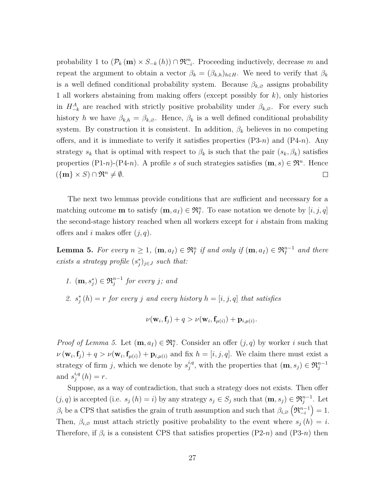probability 1 to  $(\mathcal{P}_k(\mathbf{m}) \times S_{-k}(h)) \cap \mathfrak{R}_{-i}^m$ . Proceeding inductively, decrease *m* and repeat the argument to obtain a vector  $\beta_k = (\beta_{k,h})_{h \in H}$ . We need to verify that  $\beta_k$ is a well defined conditional probability system. Because  $\beta_{k,\varnothing}$  assigns probability 1 all workers abstaining from making offers (except possibly for *k*), only histories in  $H^A_{-k}$  are reached with strictly positive probability under  $\beta_{k,\emptyset}$ . For every such history *h* we have  $\beta_{k,h} = \beta_{k,\emptyset}$ . Hence,  $\beta_k$  is a well defined conditional probability system. By construction it is consistent. In addition, *β<sup>k</sup>* believes in no competing offers, and it is immediate to verify it satisfies properties (P3-*n*) and (P4-*n*). Any strategy  $s_k$  that is optimal with respect to  $\beta_k$  is such that the pair  $(s_k, \beta_k)$  satisfies properties (P1-*n*)-(P4-*n*). A profile *s* of such strategies satisfies  $(m, s) \in \mathbb{R}^n$ . Hence  $({\bf m} \times S) \cap \mathfrak{R}^n \neq \emptyset$ .  $\Box$ 

The next two lemmas provide conditions that are sufficient and necessary for a matching outcome **m** to satisfy  $(\mathbf{m}, a_I) \in \mathfrak{R}_I^n$ . To ease notation we denote by  $[i, j, q]$ the second-stage history reached when all workers except for *i* abstain from making offers and *i* makes offer (*j, q*).

**Lemma 5.** For every  $n \geq 1$ ,  $(\mathbf{m}, a_I) \in \mathfrak{R}_I^n$  if and only if  $(\mathbf{m}, a_I) \in \mathfrak{R}_I^{n-1}$  and there *exists a strategy profile*  $(s_j^*)_{j \in J}$  *such that:* 

- *1.*  $(\mathbf{m}, s_j^*)$  ∈  $\mathfrak{R}_j^{n-1}$  *for every j; and*
- 2.  $s_j^*(h) = r$  *for every j and every history*  $h = [i, j, q]$  *that satisfies*

$$
\nu(\mathbf{w}_i, \mathbf{f}_j) + q > \nu(\mathbf{w}_i, \mathbf{f}_{\mu(i)}) + \mathbf{p}_{i, \mu(i)}.
$$

*Proof of Lemma 5.* Let  $(\mathbf{m}, a_I) \in \mathfrak{R}_I^n$ . Consider an offer  $(j, q)$  by worker *i* such that  $\nu(\mathbf{w}_i, \mathbf{f}_j) + q > \nu(\mathbf{w}_i, \mathbf{f}_{\mu(i)}) + \mathbf{p}_{i, \mu(i)}$  and fix  $h = [i, j, q]$ . We claim there must exist a strategy of firm *j*, which we denote by  $s_i^{i,q}$  $j^{i,q}$ , with the properties that  $(\mathbf{m}, s_j) \in \mathfrak{R}_j^{n-1}$ and  $s_i^{i,q}$  $j^{i,q}(h) = r.$ 

Suppose, as a way of contradiction, that such a strategy does not exists. Then offer  $(j, q)$  is accepted (i.e.  $s_j(h) = i$ ) by any strategy  $s_j \in S_j$  such that  $(\mathbf{m}, s_j) \in \mathfrak{R}_j^{n-1}$ . Let  $\beta_i$  be a CPS that satisfies the grain of truth assumption and such that  $\beta_{i, \varnothing} (\mathfrak{R}_{-i}^{n-1}) = 1$ . Then,  $\beta_{i,0}$  must attach strictly positive probability to the event where  $s_j(h) = i$ . Therefore, if  $\beta_i$  is a consistent CPS that satisfies properties (P2-*n*) and (P3-*n*) then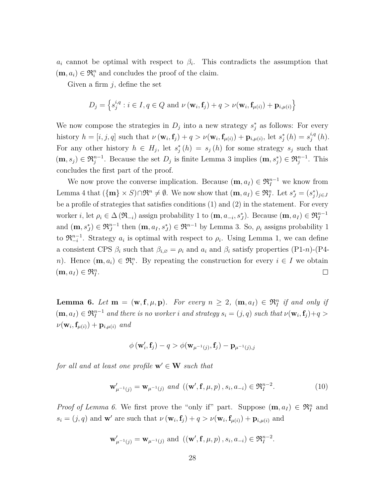$a_i$  cannot be optimal with respect to  $\beta_i$ . This contradicts the assumption that  $(\mathbf{m}, a_i) \in \mathfrak{R}_i^n$  and concludes the proof of the claim.

Given a firm *j*, define the set

$$
D_j = \left\{ s_j^{i,q} : i \in I, q \in Q \text{ and } \nu \left( \mathbf{w}_i, \mathbf{f}_j \right) + q > \nu(\mathbf{w}_i, \mathbf{f}_{\mu(i)}) + \mathbf{p}_{i,\mu(i)} \right\}
$$

We now compose the strategies in  $D_j$  into a new strategy  $s_j^*$  as follows: For every history  $h = [i, j, q]$  such that  $\nu(\mathbf{w}_i, \mathbf{f}_j) + q > \nu(\mathbf{w}_i, \mathbf{f}_{\mu(i)}) + \mathbf{p}_{i, \mu(i)}$ , let  $s_j^*(h) = s_j^{i, q}$  $j^{i,q}(h)$ . For any other history  $h \in H_j$ , let  $s_j^*(h) = s_j(h)$  for some strategy  $s_j$  such that  $(\mathbf{m}, s_j) \in \mathfrak{R}_j^{n-1}$ . Because the set  $D_j$  is finite Lemma 3 implies  $(\mathbf{m}, s_j^*) \in \mathfrak{R}_j^{n-1}$ . This concludes the first part of the proof.

We now prove the converse implication. Because  $(\mathbf{m}, a_I) \in \mathfrak{R}_I^{n-1}$  we know from Lemma 4 that  $({\bf{m}} \times S) \cap \mathfrak{R}^n \neq \emptyset$ . We now show that  $({\bf{m}}, a_I) \in \mathfrak{R}_I^n$ . Let  $s_J^* = (s_j^*)_{j \in J}$ be a profile of strategies that satisfies conditions (1) and (2) in the statement. For every worker *i*, let  $\rho_i \in \Delta(\mathfrak{R}_{-i})$  assign probability 1 to  $(\mathbf{m}, a_{-i}, s_J^*)$ . Because  $(\mathbf{m}, a_I) \in \mathfrak{R}_I^{n-1}$ and  $(\mathbf{m}, s_j^*) \in \mathfrak{R}_J^{n-1}$  then  $(\mathbf{m}, a_I, s_J^*) \in \mathfrak{R}^{n-1}$  by Lemma 3. So,  $\rho_i$  assigns probability 1 to  $\mathfrak{R}_{-i}^{n-1}$ . Strategy  $a_i$  is optimal with respect to  $\rho_i$ . Using Lemma 1, we can define a consistent CPS  $\beta_i$  such that  $\beta_i \circ \rho_i$  and  $a_i$  and  $\beta_i$  satisfy properties (P1-*n*)-(P4*n*). Hence  $(\mathbf{m}, a_i) \in \mathfrak{R}_i^n$ . By repeating the construction for every  $i \in I$  we obtain  $(m, a_I) \in \mathfrak{R}_I^n$ .  $\Box$ 

**Lemma 6.** *Let*  $\mathbf{m} = (\mathbf{w}, \mathbf{f}, \mu, \mathbf{p})$ *. For every*  $n \geq 2$ ,  $(\mathbf{m}, a_I) \in \mathfrak{R}_I^n$  *if and only if*  $(\mathbf{m}, a_I) \in \mathfrak{R}^{n-1}_I$  and there is no worker i and strategy  $s_i = (j, q)$  such that  $\nu(\mathbf{w}_i, \mathbf{f}_j) + q >$  $\nu(\mathbf{w}_i, \mathbf{f}_{\mu(i)}) + \mathbf{p}_{i, \mu(i)}$  and

$$
\phi\left(\mathbf{w}_i', \mathbf{f}_j\right) - q > \phi(\mathbf{w}_{\mu^{-1}(j)}, \mathbf{f}_j) - \mathbf{p}_{\mu^{-1}(j), j}
$$

*for all and at least one profile*  $\mathbf{w}' \in \mathbf{W}$  *such that* 

$$
\mathbf{w}'_{\mu^{-1}(j)} = \mathbf{w}_{\mu^{-1}(j)} \text{ and } ((\mathbf{w}', \mathbf{f}, \mu, p), s_i, a_{-i}) \in \mathfrak{R}_I^{n-2}.
$$
 (10)

*Proof of Lemma 6.* We first prove the "only if" part. Suppose  $(\mathbf{m}, a_I) \in \mathfrak{R}_I^n$  and  $s_i = (j, q)$  and **w**<sup>*'*</sup> are such that  $\nu(\mathbf{w}_i, \mathbf{f}_j) + q > \nu(\mathbf{w}_i, \mathbf{f}_{\mu(i)}) + \mathbf{p}_{i, \mu(i)}$  and

$$
\mathbf{w}'_{\mu^{-1}(j)} = \mathbf{w}_{\mu^{-1}(j)}
$$
 and  $((\mathbf{w}', \mathbf{f}, \mu, p), s_i, a_{-i}) \in \mathfrak{R}_I^{n-2}$ .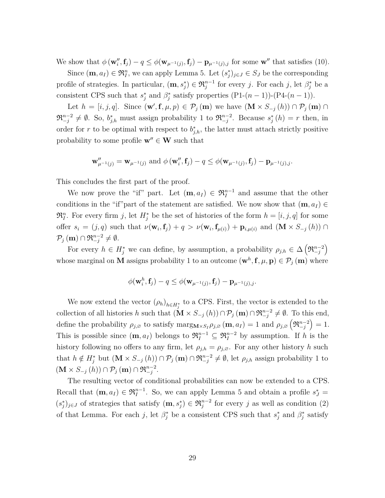We show that  $\phi(\mathbf{w}''_i, \mathbf{f}_j) - q \leq \phi(\mathbf{w}_{\mu^{-1}(j)}, \mathbf{f}_j) - \mathbf{p}_{\mu^{-1}(j),j}$  for some  $\mathbf{w}''$  that satisfies (10).

Since  $(\mathbf{m}, a_I) \in \mathfrak{R}_I^n$ , we can apply Lemma 5. Let  $(s_j^*)_{j \in J} \in S_J$  be the corresponding profile of strategies. In particular,  $(m, s_j^*) \in \mathfrak{R}_j^{n-1}$  for every *j*. For each *j*, let  $\beta_j^*$  be a consistent CPS such that  $s_j^*$  and  $\beta_j^*$  satisfy properties  $(P1-(n-1))-(P4-(n-1))$ .

Let  $h = [i, j, q]$ . Since  $(\mathbf{w}', \mathbf{f}, \mu, p) \in \mathcal{P}_j(\mathbf{m})$  we have  $(\mathbf{M} \times S_{-j}(h)) \cap \mathcal{P}_j(\mathbf{m})$  $\mathfrak{R}_{-j}^{n-2} \neq \emptyset$ . So,  $b_{j,h}^*$  must assign probability 1 to  $\mathfrak{R}_{-j}^{n-2}$ . Because  $s_j^*(h) = r$  then, in order for *r* to be optimal with respect to  $b_{j,h}^*$ , the latter must attach strictly positive probability to some profile  $\mathbf{w}'' \in \mathbf{W}$  such that

$$
\mathbf{w}_{\mu^{-1}(j)}'' = \mathbf{w}_{\mu^{-1}(j)} \text{ and } \phi(\mathbf{w}_i'', \mathbf{f}_j) - q \leq \phi(\mathbf{w}_{\mu^{-1}(j)}, \mathbf{f}_j) - \mathbf{p}_{\mu^{-1}(j),j}.
$$

This concludes the first part of the proof.

We now prove the "if" part. Let  $(\mathbf{m}, a_I) \in \mathfrak{R}_I^{n-1}$  and assume that the other conditions in the "if"part of the statement are satisfied. We now show that  $(\mathbf{m}, a_I) \in$  $\mathfrak{R}_I^n$ . For every firm *j*, let  $H_j^*$  be the set of histories of the form  $h = [i, j, q]$  for some offer  $s_i = (j, q)$  such that  $\nu(\mathbf{w}_i, \mathbf{f}_j) + q > \nu(\mathbf{w}_i, \mathbf{f}_{\mu(i)}) + \mathbf{p}_{i, \mu(i)}$  and  $(\mathbf{M} \times S_{-j}(h)) \cap$  $\mathcal{P}_j(\mathbf{m}) \cap \mathfrak{R}_{-j}^{n-2} \neq \emptyset.$ 

For every  $h \in H_j^*$  we can define, by assumption, a probability  $\rho_{j,h} \in \Delta\left(\mathfrak{R}_{-j}^{n-2}\right)$ whose marginal on **M** assigns probability 1 to an outcome  $(\mathbf{w}^h, \mathbf{f}, \mu, \mathbf{p}) \in \mathcal{P}_j(\mathbf{m})$  where

$$
\phi(\mathbf{w}_i^h, \mathbf{f}_j) - q \leq \phi(\mathbf{w}_{\mu^{-1}(j)}, \mathbf{f}_j) - \mathbf{p}_{\mu^{-1}(j),j}.
$$

We now extend the vector  $(\rho_h)_{h \in H^*_{j}}$  to a CPS. First, the vector is extended to the collection of all histories *h* such that  $(\mathbf{M} \times S_{-j}(h)) \cap \mathcal{P}_j(\mathbf{m}) \cap \mathfrak{R}_{-j}^{n-2} \neq \emptyset$ . To this end, define the probability  $\rho_{j,\varnothing}$  to satisfy  $\max_{S} S_I \rho_{j,\varnothing} (\mathbf{m}, a_I) = 1$  and  $\rho_{j,\varnothing} (\mathfrak{R}_{-j}^{n-2}) = 1$ . This is possible since  $(m, a_I)$  belongs to  $\mathfrak{R}^{n-1}_I \subseteq \mathfrak{R}^{n-2}_I$  by assumption. If *h* is the history following no offers to any firm, let  $\rho_{j,h} = \rho_{j,\emptyset}$ . For any other history *h* such that  $h \notin H_j^*$  but  $(\mathbf{M} \times S_{-j}(h)) \cap \mathcal{P}_j(\mathbf{m}) \cap \mathfrak{R}_{-j}^{n-2} \neq \emptyset$ , let  $\rho_{j,h}$  assign probability 1 to  $(\mathbf{M} \times S_{-j}(h)) \cap \mathcal{P}_j(\mathbf{m}) \cap \mathfrak{R}_{-j}^{n-2}.$ 

The resulting vector of conditional probabilities can now be extended to a CPS. Recall that  $(\mathbf{m}, a_I) \in \mathfrak{R}_I^{n-1}$ . So, we can apply Lemma 5 and obtain a profile  $s_J^* =$  $(s_j^*)_{j\in J}$  of strategies that satisfy  $(\mathbf{m}, s_j^*) \in \mathfrak{R}_j^{n-2}$  for every *j* as well as condition (2) of that Lemma. For each *j*, let  $\beta_j^*$  be a consistent CPS such that  $s_j^*$  and  $\beta_j^*$  satisfy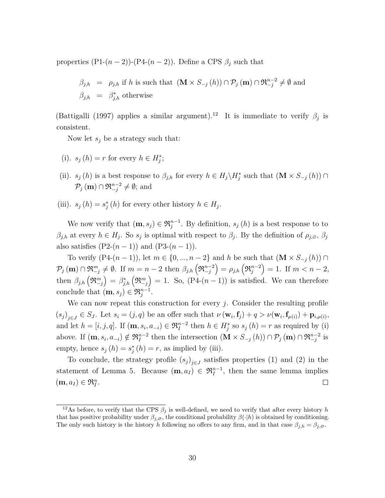properties  $(P1-(n-2))-(P4-(n-2))$ . Define a CPS  $\beta_i$  such that

$$
\beta_{j,h} = \rho_{j,h} \text{ if } h \text{ is such that } (\mathbf{M} \times S_{-j}(h)) \cap \mathcal{P}_j(\mathbf{m}) \cap \mathfrak{R}_{-j}^{n-2} \neq \emptyset \text{ and } \beta_{j,h} = \beta_{j,h}^* \text{ otherwise}
$$

(Battigalli (1997) applies a similar argument).<sup>12</sup> It is immediate to verify  $\beta_j$  is consistent.

Now let *s<sup>j</sup>* be a strategy such that:

- (i).  $s_j(h) = r$  for every  $h \in H_j^*$ ;
- (ii). *s<sub>j</sub>* (*h*) is a best response to  $\beta_{j,h}$  for every  $h \in H_j \backslash H_j^*$  such that  $(\mathbf{M} \times S_{-j} (h)) \cap$  $\mathcal{P}_j(\mathbf{m}) \cap \mathfrak{R}_{-j}^{n-2} \neq \emptyset$ ; and
- (iii).  $s_j(h) = s_j^*(h)$  for every other history  $h \in H_j$ .

We now verify that  $(\mathbf{m}, s_j) \in \mathfrak{R}_j^{n-1}$ . By definition,  $s_j(h)$  is a best response to to  $\beta_{j,h}$  at every  $h \in H_j$ . So  $s_j$  is optimal with respect to  $\beta_j$ . By the definition of  $\rho_{j,\varnothing}$ ,  $\beta_j$ also satisfies  $(P2-(n-1))$  and  $(P3-(n-1))$ .

To verify  $(P4-(n-1))$ , let  $m \in \{0, ..., n-2\}$  and *h* be such that  $(\mathbf{M} \times S_{-i}(h)) \cap$  $\mathcal{P}_j(\mathbf{m}) \cap \mathfrak{R}_{-j}^m \neq \emptyset$ . If  $m = n - 2$  then  $\beta_{j,h}(\mathfrak{R}_{-j}^{n-2}) = \rho_{j,h}(\mathfrak{R}_j^{n-2}) = 1$ . If  $m < n - 2$ , then  $\beta_{j,h} (\mathfrak{R}_{-j}^m) = \beta_{j,h}^* (\mathfrak{R}_{-j}^m) = 1$ . So,  $(P4-(n-1))$  is satisfied. We can therefore conclude that  $(m, s_j) \in \mathfrak{R}^{n-1}_j$ .

We can now repeat this construction for every  $j$ . Consider the resulting profile  $(s_j)_{j\in J} \in S_J$ . Let  $s_i = (j, q)$  be an offer such that  $\nu(\mathbf{w}_i, \mathbf{f}_j) + q > \nu(\mathbf{w}_i, \mathbf{f}_{\mu(i)}) + \mathbf{p}_{i,\mu(i)},$ and let  $h = [i, j, q]$ . If  $(\mathbf{m}, s_i, a_{-i}) \in \mathfrak{R}_I^{n-2}$  then  $h \in H_j^*$  so  $s_j(h) = r$  as required by (i) above. If  $(\mathbf{m}, s_i, a_{-i}) \notin \mathfrak{R}_I^{n-2}$  then the intersection  $(\mathbf{M} \times S_{-j}(h)) \cap \mathcal{P}_j(\mathbf{m}) \cap \mathfrak{R}_{-j}^{n-2}$  is empty, hence  $s_j(h) = s_j^*(h) = r$ , as implied by (iii).

To conclude, the strategy profile  $(s_j)_{j \in J}$  satisfies properties (1) and (2) in the statement of Lemma 5. Because  $(\mathbf{m}, a_I) \in \mathfrak{R}_I^{n-1}$ , then the same lemma implies  $(\mathbf{m}, a_I) \in \mathfrak{R}_I^n$ .  $\Box$ 

<sup>&</sup>lt;sup>12</sup>As before, to verify that the CPS  $\beta_j$  is well-defined, we need to verify that after every history *h* that has positive probability under  $\beta_{i,\emptyset}$ , the conditional probability  $\beta(\cdot|h)$  is obtained by conditioning. The only such history is the history *h* following no offers to any firm, and in that case  $\beta_{j,h} = \beta_{j,\emptyset}$ .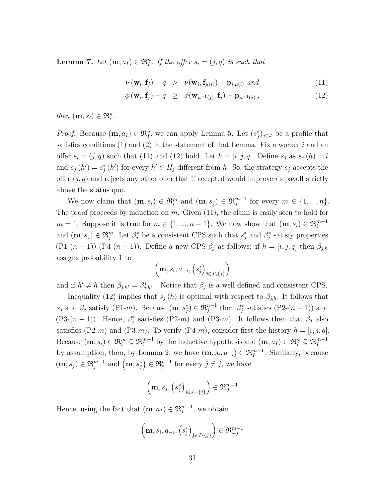**Lemma 7.** *Let*  $(\mathbf{m}, a_I) \in \mathfrak{R}_I^n$ . *If the offer*  $s_i = (j, q)$  *is such that* 

$$
\nu(\mathbf{w}_i, \mathbf{f}_j) + q > \nu(\mathbf{w}_i, \mathbf{f}_{\mu(i)}) + \mathbf{p}_{i, \mu(i)} \text{ and } (11)
$$

$$
\phi(\mathbf{w}_i, \mathbf{f}_j) - q \geq \phi(\mathbf{w}_{\mu^{-1}(j)}, \mathbf{f}_j) - \mathbf{p}_{\mu^{-1}(j),j} \tag{12}
$$

*then*  $(\mathbf{m}, s_i) \in \mathfrak{R}_i^n$ .

*Proof.* Because  $(\mathbf{m}, a_I) \in \mathfrak{R}_I^n$ , we can apply Lemma 5. Let  $(s_j^*)_{j \in J}$  be a profile that satisfies conditions (1) and (2) in the statement of that Lemma. Fix a worker *i* and an offer  $s_i = (j, q)$  such that (11) and (12) hold. Let  $h = [i, j, q]$ . Define  $s_j$  as  $s_j(h) = i$ and  $s_j(h') = s_j^*(h')$  for every  $h' \in H_j$  different from *h*. So, the strategy  $s_j$  accepts the offer (*j, q*) and rejects any other offer that if accepted would improve *i*'s payoff strictly above the status quo.

We now claim that  $(\mathbf{m}, s_i) \in \mathfrak{R}_i^m$  and  $(\mathbf{m}, s_j) \in \mathfrak{R}_j^{m-1}$  for every  $m \in \{1, ..., n\}$ . The proof proceeds by induction on *m*. Given (11), the claim is easily seen to hold for  $m = 1$ . Suppose it is true for  $m \in \{1, ..., n-1\}$ . We now show that  $(\mathbf{m}, s_i) \in \mathfrak{R}_i^{m+1}$ and  $(\mathbf{m}, s_j) \in \mathfrak{R}_j^m$ . Let  $\beta_j^*$  be a consistent CPS such that  $s_j^*$  and  $\beta_j^*$  satisfy properties (P1- $(n-1)$ )-(P4- $(n-1)$ ). Define a new CPS  $\beta_j$  as follows: if  $h = [i, j, q]$  then  $\beta_{j,h}$ assigns probability 1 to

$$
\left(\mathbf{m}, s_i, a_{-i}, \left(s_j^*\right)_{j \in J \setminus \{j\}}\right)
$$

and if  $h' \neq h$  then  $\beta_{j,h'} = \beta_{j,h'}^*$ . Notice that  $\beta_j$  is a well defined and consistent CPS.

Inequality (12) implies that  $s_j(h)$  is optimal with respect to  $\beta_{j,h}$ . It follows that *s*<sub>*j*</sub> and *β*<sub>*j*</sub> satisfy (P1-*m*). Because  $(\mathbf{m}, s_j^*) \in \mathfrak{R}_j^{n-1}$  then  $\beta_j^*$  satisfies (P2- $(n-1)$ ) and (P3- $(n-1)$ ). Hence,  $\beta_j^*$  satisfies (P2-*m*) and (P3-*m*). It follows then that  $\beta_j$  also satisfies (P2-*m*) and (P3-*m*). To verify (P4-*m*), consider first the history  $h = [i, j, q]$ . Because  $(\mathbf{m}, s_i) \in \mathfrak{R}_i^m \subseteq \mathfrak{R}_i^{m-1}$  by the inductive hypothesis and  $(\mathbf{m}, a_I) \in \mathfrak{R}_I^n \subseteq \mathfrak{R}_I^{m-1}$ by assumption, then, by Lemma 2, we have  $(\mathbf{m}, s_i, a_{-i}) \in \mathfrak{R}_I^{m-1}$ . Similarly, because  $(m, s_j) \in \mathfrak{R}^{m-1}_j \text{ and } (m, s_j^*) \in \mathfrak{R}^{n-1}_j \text{ for every } j \neq j$ , we have

$$
\left(\mathbf{m},s_j,\left(s_j^*\right)_{j\in J-\{j\}}\right)\in\mathfrak{R}_J^{m-1}
$$

Hence, using the fact that  $(\mathbf{m}, a_I) \in \mathfrak{R}_I^{m-1}$ , we obtain

$$
\left(\mathbf{m}, s_i, a_{-i}, \left(s_j^*\right)_{j \in J \setminus \{j\}}\right) \in \mathfrak{R}_{-j}^{m-1}
$$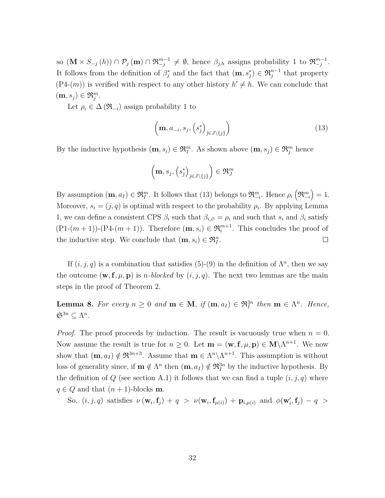so  $(\mathbf{M} \times S_{-j}(h)) \cap \mathcal{P}_j(\mathbf{m}) \cap \mathfrak{R}_{-j}^{m-1} \neq \emptyset$ , hence  $\beta_{j,h}$  assigns probability 1 to  $\mathfrak{R}_{-j}^{m-1}$ . It follows from the definition of  $\beta_j^*$  and the fact that  $(\mathbf{m}, s_j^*) \in \mathfrak{R}_j^{n-1}$  that property  $(P4-(m))$  is verified with respect to any other history  $h' \neq h$ . We can conclude that  $(\mathbf{m}, s_j) \in \mathfrak{R}_j^m$ .

Let  $\rho_i \in \Delta(\mathfrak{R}_{-i})$  assign probability 1 to

$$
\left(\mathbf{m}, a_{-i}, s_j, \left(s_j^*\right)_{j \in J \setminus \{j\}}\right) \tag{13}
$$

By the inductive hypothesis  $(\mathbf{m}, s_i) \in \mathfrak{R}_I^m$ . As shown above  $(\mathbf{m}, s_j) \in \mathfrak{R}_j^m$  hence

$$
\left(\mathbf{m},s_j,\left(s_j^*\right)_{j\in J\setminus\{j\}}\right)\in\mathfrak{R}_J^m
$$

By assumption  $(m, a_I) \in \mathfrak{R}_I^m$ . It follows that (13) belongs to  $\mathfrak{R}_{-i}^m$ . Hence  $\rho_i\left(\mathfrak{R}_{-i}^m\right) = 1$ . Moreover,  $s_i = (j, q)$  is optimal with respect to the probability  $\rho_i$ . By applying Lemma 1, we can define a consistent CPS  $\beta_i$  such that  $\beta_{i,\emptyset} = \rho_i$  and such that  $s_i$  and  $\beta_i$  satisfy  $(P1-(m+1))-(P4-(m+1))$ . Therefore  $(m, s_i) \in \mathfrak{R}_i^{m+1}$ . This concludes the proof of the inductive step. We conclude that  $(\mathbf{m}, s_i) \in \mathfrak{R}_I^n$ .  $\Box$ 

If  $(i, j, q)$  is a combination that satisfies (5)-(9) in the definition of  $\Lambda^n$ , then we say the outcome  $(\mathbf{w}, \mathbf{f}, \mu, \mathbf{p})$  is *n-blocked* by  $(i, j, q)$ . The next two lemmas are the main steps in the proof of Theorem 2.

**Lemma 8.** For every  $n \geq 0$  and  $\mathbf{m} \in \mathbf{M}$ , if  $(\mathbf{m}, a_I) \in \mathfrak{R}_I^{3n}$  then  $\mathbf{m} \in \Lambda^n$ . Hence,  $\mathfrak{S}^{3n} \subseteq \Lambda^n$ .

*Proof.* The proof proceeds by induction. The result is vacuously true when  $n = 0$ . Now assume the result is true for  $n \geq 0$ . Let  $\mathbf{m} = (\mathbf{w}, \mathbf{f}, \mu, \mathbf{p}) \in \mathbf{M} \setminus \Lambda^{n+1}$ . We now show that  $(\mathbf{m}, a_I) \notin \mathfrak{R}^{3n+3}$ . Assume that  $\mathbf{m} \in \Lambda^n \backslash \Lambda^{n+1}$ . This assumption is without loss of generality since, if  $\mathbf{m} \notin \Lambda^n$  then  $(\mathbf{m}, a_I) \notin \mathfrak{R}_I^{3n}$  by the inductive hypothesis. By the definition of  $Q$  (see section A.1) it follows that we can find a tuple  $(i, j, q)$  where  $q \in Q$  and that  $(n+1)$ -blocks **m**.

So,  $(i, j, q)$  satisfies  $\nu(\mathbf{w}_i, \mathbf{f}_j) + q > \nu(\mathbf{w}_i, \mathbf{f}_{\mu(i)}) + \mathbf{p}_{i, \mu(i)}$  and  $\phi(\mathbf{w}'_i, \mathbf{f}_j) - q >$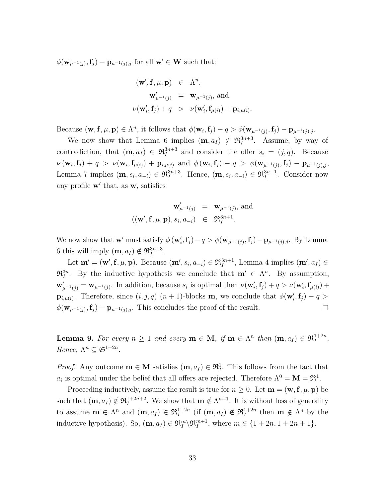$\phi(\mathbf{w}_{\mu^{-1}(j)}, \mathbf{f}_j) - \mathbf{p}_{\mu^{-1}(j),j}$  for all  $\mathbf{w}' \in \mathbf{W}$  such that:

$$
(\mathbf{w}', \mathbf{f}, \mu, \mathbf{p}) \in \Lambda^n,
$$
  

$$
\mathbf{w}'_{\mu^{-1}(j)} = \mathbf{w}_{\mu^{-1}(j)}, \text{ and}
$$
  

$$
\nu(\mathbf{w}'_i, \mathbf{f}_j) + q > \nu(\mathbf{w}'_i, \mathbf{f}_{\mu(i)}) + \mathbf{p}_{i, \mu(i)}
$$

.

Because  $(\mathbf{w}, \mathbf{f}, \mu, \mathbf{p}) \in \Lambda^n$ , it follows that  $\phi(\mathbf{w}_i, \mathbf{f}_j) - q > \phi(\mathbf{w}_{\mu^{-1}(j)}, \mathbf{f}_j) - \mathbf{p}_{\mu^{-1}(j),j}$ .

We now show that Lemma 6 implies  $(\mathbf{m}, a_I) \notin \mathfrak{R}_I^{3n+3}$ . Assume, by way of contradiction, that  $(\mathbf{m}, a_I) \in \mathfrak{R}_I^{3n+3}$  and consider the offer  $s_i = (j, q)$ . Because  $\nu\left(\mathbf{w}_i,\mathbf{f}_j\right) + q > \nu(\mathbf{w}_i,\mathbf{f}_{\mu(i)}) + \mathbf{p}_{i,\mu(i)} \text{ and } \phi\left(\mathbf{w}_i,\mathbf{f}_j\right) - q > \phi(\mathbf{w}_{\mu^{-1}(j)},\mathbf{f}_j) - \mathbf{p}_{\mu^{-1}(j),j},$ Lemma 7 implies  $(\mathbf{m}, s_i, a_{-i}) \in \mathfrak{R}_I^{3n+3}$ . Hence,  $(\mathbf{m}, s_i, a_{-i}) \in \mathfrak{R}_I^{3n+1}$ . Consider now any profile **w**<sup> $\prime$ </sup> that, as **w**, satisfies

$$
\begin{array}{rcl}\n\mathbf{w}'_{\mu^{-1}(j)} & = & \mathbf{w}_{\mu^{-1}(j)}, \text{ and} \\
((\mathbf{w}', \mathbf{f}, \mu, \mathbf{p}), s_i, a_{-i}) & \in & \mathfrak{R}_I^{3n+1}.\n\end{array}
$$

We now show that  $\mathbf{w}'$  must satisfy  $\phi(\mathbf{w}'_i, \mathbf{f}_j) - q > \phi(\mathbf{w}_{\mu^{-1}(j)}, \mathbf{f}_j) - \mathbf{p}_{\mu^{-1}(j),j}$ . By Lemma 6 this will imply  $(\mathbf{m}, a_I) \notin \mathfrak{R}_I^{3n+3}$ .

Let  $\mathbf{m}' = (\mathbf{w}', \mathbf{f}, \mu, \mathbf{p})$ . Because  $(\mathbf{m}', s_i, a_{-i}) \in \mathfrak{R}_I^{3n+1}$ , Lemma 4 implies  $(\mathbf{m}', a_I) \in$  $\mathfrak{R}_I^{3n}$ . By the inductive hypothesis we conclude that  $\mathbf{m}' \in \Lambda^n$ . By assumption,  $\mathbf{w}'_{\mu^{-1}(j)} = \mathbf{w}_{\mu^{-1}(j)}$ . In addition, because  $s_i$  is optimal then  $\nu(\mathbf{w}'_i, \mathbf{f}_j) + q > \nu(\mathbf{w}'_i, \mathbf{f}_{\mu(i)}) +$ **p**<sub>*i*</sub><sub> $\mu(i)$ </sub>. Therefore, since  $(i, j, q)$   $(n + 1)$ -blocks **m**, we conclude that  $\phi(\mathbf{w}'_i, \mathbf{f}_j) - q >$  $\phi(\mathbf{w}_{\mu^{-1}(j)}, \mathbf{f}_j) - \mathbf{p}_{\mu^{-1}(j),j}$ . This concludes the proof of the result.  $\Box$ 

**Lemma 9.** For every  $n \geq 1$  and every  $\mathbf{m} \in \mathbf{M}$ , if  $\mathbf{m} \in \Lambda^n$  then  $(\mathbf{m}, a_I) \in \mathfrak{R}_I^{1+2n}$ . *Hence,*  $\Lambda^n \subseteq \mathfrak{S}^{1+2n}$ *.* 

*Proof.* Any outcome  $\mathbf{m} \in \mathbf{M}$  satisfies  $(\mathbf{m}, a_I) \in \mathfrak{R}_I^1$ . This follows from the fact that  $a_i$  is optimal under the belief that all offers are rejected. Therefore  $\Lambda^0 = \mathbf{M} = \mathfrak{R}^1$ .

Proceeding inductively, assume the result is true for  $n \geq 0$ . Let  $\mathbf{m} = (\mathbf{w}, \mathbf{f}, \mu, \mathbf{p})$  be such that  $(\mathbf{m}, a_I) \notin \mathfrak{R}_I^{1+2n+2}$ . We show that  $\mathbf{m} \notin \Lambda^{n+1}$ . It is without loss of generality to assume  $\mathbf{m} \in \Lambda^n$  and  $(\mathbf{m}, a_I) \in \mathfrak{R}_I^{1+2n}$  (if  $(\mathbf{m}, a_I) \notin \mathfrak{R}_I^{1+2n}$  then  $\mathbf{m} \notin \Lambda^n$  by the inductive hypothesis). So,  $(\mathbf{m}, a_I) \in \mathfrak{R}_I^m \backslash \mathfrak{R}_I^{m+1}$ , where  $m \in \{1 + 2n, 1 + 2n + 1\}$ .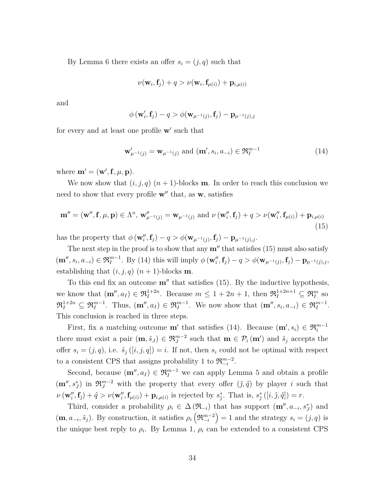By Lemma 6 there exists an offer  $s_i = (j, q)$  such that

$$
\nu(\mathbf{w}_i, \mathbf{f}_j) + q > \nu(\mathbf{w}_i, \mathbf{f}_{\mu(i)}) + \mathbf{p}_{i, \mu(i)}
$$

and

$$
\phi(\mathbf{w}'_i, \mathbf{f}_j) - q > \phi(\mathbf{w}_{\mu^{-1}(j)}, \mathbf{f}_j) - \mathbf{p}_{\mu^{-1}(j), j}
$$

for every and at least one profile **w'** such that

$$
\mathbf{w}'_{\mu^{-1}(j)} = \mathbf{w}_{\mu^{-1}(j)} \text{ and } (\mathbf{m}', s_i, a_{-i}) \in \mathfrak{R}_I^{m-1}
$$
(14)

where  $\mathbf{m}' = (\mathbf{w}', \mathbf{f}, \mu, \mathbf{p}).$ 

We now show that  $(i, j, q)$   $(n + 1)$ -blocks **m**. In order to reach this conclusion we need to show that every profile  $\mathbf{w}$ <sup>*u*</sup> that, as **w**, satisfies

$$
\mathbf{m}'' = (\mathbf{w}'', \mathbf{f}, \mu, \mathbf{p}) \in \Lambda^n, \, \mathbf{w}_{\mu^{-1}(j)}'' = \mathbf{w}_{\mu^{-1}(j)} \text{ and } \nu (\mathbf{w}_i'', \mathbf{f}_j) + q > \nu (\mathbf{w}_i'', \mathbf{f}_{\mu(i)}) + \mathbf{p}_{i, \mu(i)}
$$
(15)

has the property that  $\phi(\mathbf{w}''_i, \mathbf{f}_j) - q > \phi(\mathbf{w}_{\mu^{-1}(j)}, \mathbf{f}_j) - \mathbf{p}_{\mu^{-1}(j),j}$ .

The next step in the proof is to show that any  $\mathbf{m}''$  that satisfies (15) must also satisfy  $(\mathbf{m}'', s_i, a_{-i}) \in \mathfrak{R}_I^{m-1}$ . By (14) this will imply  $\phi(\mathbf{w}''_i, \mathbf{f}_j) - q > \phi(\mathbf{w}_{\mu^{-1}(j)}, \mathbf{f}_j) - \mathbf{p}_{\mu^{-1}(j),j}$ , establishing that  $(i, j, q)$   $(n + 1)$ -blocks **m**.

To this end fix an outcome  $\mathbf{m}''$  that satisfies (15). By the inductive hypothesis, we know that  $(\mathbf{m}^{\prime\prime}, a_I) \in \mathfrak{R}_I^{1+2n}$ . Because  $m \leq 1 + 2n + 1$ , then  $\mathfrak{R}_I^{1+2n+1} \subseteq \mathfrak{R}_I^m$  so  $\mathfrak{R}_I^{1+2n} \subseteq \mathfrak{R}_I^{m-1}$ . Thus,  $(\mathbf{m}^{\prime\prime}, a_I) \in \mathfrak{R}_I^{m-1}$ . We now show that  $(\mathbf{m}^{\prime\prime}, s_i, a_{-i}) \in \mathfrak{R}_I^{m-1}$ . This conclusion is reached in three steps.

First, fix a matching outcome **m**<sup>*i*</sup> that satisfies (14). Because  $(\mathbf{m}', s_i) \in \mathfrak{R}_i^{m-1}$ there must exist a pair  $(\mathbf{m}, \tilde{s}_J) \in \mathfrak{R}_J^{m-2}$  such that  $\mathbf{m} \in \mathcal{P}_i(\mathbf{m}')$  and  $\tilde{s}_j$  accepts the offer  $s_i = (j, q)$ , i.e.  $\tilde{s}_j([i, j, q]) = i$ . If not, then  $s_i$  could not be optimal with respect to a consistent CPS that assigns probability 1 to  $\mathfrak{R}_{-i}^{m-2}$ .

Second, because  $(\mathbf{m}^{\prime\prime}, a_I) \in \mathfrak{R}_I^{m-1}$  we can apply Lemma 5 and obtain a profile  $(\mathbf{m}^{\prime\prime}, s_J^*)$  in  $\mathfrak{R}_J^{m-2}$  with the property that every offer  $(\hat{j}, \hat{q})$  by player *i* such that  $\nu(\mathbf{w}_i'', \mathbf{f}_j) + \hat{q} > \nu(\mathbf{w}_i'', \mathbf{f}_{\mu(i)}) + \mathbf{p}_{i, \mu(i)}$  is rejected by  $s_j^*$ . That is,  $s_j^*([i, \hat{j}, \hat{q}]) = r$ .

Third, consider a probability  $\rho_i \in \Delta(\mathfrak{R}_{-i})$  that has support  $(\mathbf{m}^{\prime\prime}, a_{-i}, s_{J}^{*})$  and  $(\mathbf{m}, a_{-i}, \tilde{s}_j)$ . By construction, it satisfies  $\rho_i\left(\mathfrak{R}_{-i}^{m-2}\right) = 1$  and the strategy  $s_i = (j, q)$  is the unique best reply to  $\rho_i$ . By Lemma 1,  $\rho_i$  can be extended to a consistent CPS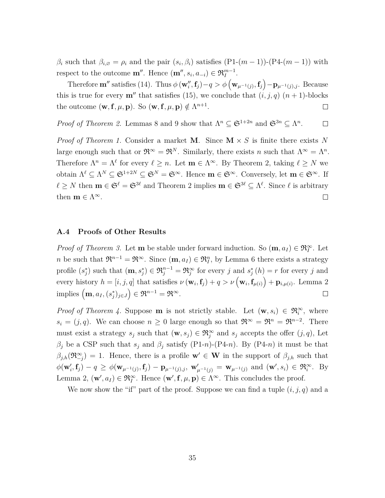*β*<sup>*i*</sup> such that  $β$ <sup>*i*</sup>, $\emptyset = ρ$ <sup>*i*</sup> and the pair  $(s_i, β_i)$  satisfies  $(P1-(m-1))-(P4-(m-1))$  with respect to the outcome  $\mathbf{m}^{\prime\prime}$ . Hence  $(\mathbf{m}^{\prime\prime}, s_i, a_{-i}) \in \mathfrak{R}_I^{m-1}$ .

Therefore  $\mathbf{m}''$  satisfies (14). Thus  $\phi(\mathbf{w}''_i, \mathbf{f}_j) - q > \phi(\mathbf{w}_{\mu^{-1}(j)}, \mathbf{f}_j) - \mathbf{p}_{\mu^{-1}(j), j}$ . Because this is true for every  $\mathbf{m}''$  that satisfies (15), we conclude that  $(i, j, q)$   $(n + 1)$ -blocks the outcome  $(\mathbf{w}, \mathbf{f}, \mu, \mathbf{p})$ . So  $(\mathbf{w}, \mathbf{f}, \mu, \mathbf{p}) \notin \Lambda^{n+1}$ .  $\Box$ 

*Proof of Theorem 2.* Lemmas 8 and 9 show that  $\Lambda^n \subseteq \mathfrak{S}^{1+2n}$  and  $\mathfrak{S}^{3n} \subseteq \Lambda^n$ .  $\Box$ 

*Proof of Theorem 1.* Consider a market **M**. Since  $\mathbf{M} \times S$  is finite there exists N large enough such that or  $\mathfrak{R}^{\infty} = \mathfrak{R}^{N}$ . Similarly, there exists *n* such that  $\Lambda^{\infty} = \Lambda^{n}$ . Therefore  $\Lambda^n = \Lambda^\ell$  for every  $\ell \geq n$ . Let  $\mathbf{m} \in \Lambda^\infty$ . By Theorem 2, taking  $\ell \geq N$  we obtain  $\Lambda^{\ell} \subseteq \Lambda^N \subseteq \mathfrak{S}^{1+2N} \subseteq \mathfrak{S}^N = \mathfrak{S}^{\infty}$ . Hence  $\mathbf{m} \in \mathfrak{S}^{\infty}$ . Conversely, let  $\mathbf{m} \in \mathfrak{S}^{\infty}$ . If  $\ell \geq N$  then  $\mathbf{m} \in \mathfrak{S}^{\ell} = \mathfrak{S}^{3\ell}$  and Theorem 2 implies  $\mathbf{m} \in \mathfrak{S}^{3\ell} \subseteq \Lambda^{\ell}$ . Since  $\ell$  is arbitrary then  $\mathbf{m} \in \Lambda^{\infty}$ .  $\Box$ 

#### **A.4 Proofs of Other Results**

*Proof of Theorem 3.* Let **m** be stable under forward induction. So  $(\mathbf{m}, a_I) \in \mathfrak{R}^{\infty}_I$ . Let *n* be such that  $\mathfrak{R}^{n-1} = \mathfrak{R}^{\infty}$ . Since  $(\mathbf{m}, a_I) \in \mathfrak{R}_I^n$ , by Lemma 6 there exists a strategy profile  $(s_j^*)$  such that  $(\mathbf{m}, s_j^*) \in \mathfrak{R}_j^{n-1} = \mathfrak{R}_j^{\infty}$  for every *j* and  $s_j^*(h) = r$  for every *j* and every history  $h = [i, j, q]$  that satisfies  $\nu(\mathbf{w}_i, \mathbf{f}_j) + q > \nu(\mathbf{w}_i, \mathbf{f}_{\mu(i)}) + \mathbf{p}_{i, \mu(i)}$ . Lemma 2  ${\rm implies} \left( {\bf m}, a_I, (s_j^*)_{j \in J} \right) \in \Re^{n-1} = \Re^{\infty}.$  $\Box$ 

*Proof of Theorem 4.* Suppose **m** is not strictly stable. Let  $(\mathbf{w}, s_i) \in \mathfrak{R}_i^{\infty}$ , where  $s_i = (j, q)$ . We can choose  $n \geq 0$  large enough so that  $\mathfrak{R}^\infty = \mathfrak{R}^{n} = \mathfrak{R}^{n-2}$ . There must exist a strategy  $s_j$  such that  $(\mathbf{w}, s_j) \in \mathfrak{R}^\infty_j$  and  $s_j$  accepts the offer  $(j, q)$ , Let  $\beta_j$  be a CSP such that  $s_j$  and  $\beta_j$  satisfy (P1-*n*)-(P4-*n*). By (P4-*n*) it must be that  $\beta_{j,h}(\mathfrak{R}_{-j}^{\infty}) = 1$ . Hence, there is a profile  $\mathbf{w}' \in \mathbf{W}$  in the support of  $\beta_{j,h}$  such that  $\phi(\mathbf{w}'_i, \mathbf{f}_j) - q \ge \phi(\mathbf{w}_{\mu^{-1}(j)}, \mathbf{f}_j) - \mathbf{p}_{\mu^{-1}(j),j}, \mathbf{w}'_{\mu^{-1}(j)} = \mathbf{w}_{\mu^{-1}(j)} \text{ and } (\mathbf{w}', s_i) \in \mathfrak{R}_i^{\infty}$ . By Lemma 2,  $(\mathbf{w}', a_I) \in \mathfrak{R}_I^{\infty}$ . Hence  $(\mathbf{w}', \mathbf{f}, \mu, \mathbf{p}) \in \Lambda^{\infty}$ . This concludes the proof.

We now show the "if" part of the proof. Suppose we can find a tuple  $(i, j, q)$  and a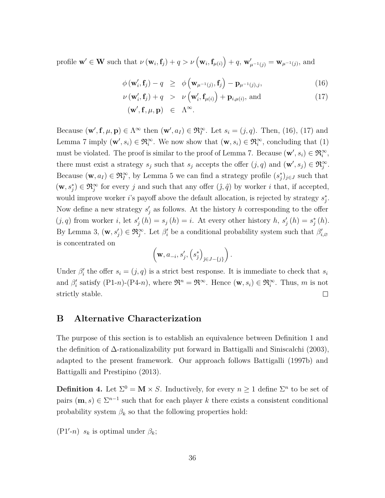profile  $\mathbf{w}' \in \mathbf{W}$  such that  $\nu(\mathbf{w}_i, \mathbf{f}_j) + q > \nu(\mathbf{w}_i, \mathbf{f}_{\mu(i)}) + q$ ,  $\mathbf{w}'_{\mu^{-1}(j)} = \mathbf{w}_{\mu^{-1}(j)}$ , and

$$
\phi(\mathbf{w}'_i, \mathbf{f}_j) - q \ge \phi\left(\mathbf{w}_{\mu^{-1}(j)}, \mathbf{f}_j\right) - \mathbf{p}_{\mu^{-1}(j),j},\tag{16}
$$

$$
\nu(\mathbf{w}'_i, \mathbf{f}_j) + q > \nu(\mathbf{w}'_i, \mathbf{f}_{\mu(i)}) + \mathbf{p}_{i, \mu(i)}, \text{ and}
$$
\n(17)

$$
({\bf w}',{\bf f},\mu,{\bf p})\ \in\ \Lambda^\infty.
$$

Because  $(\mathbf{w}', \mathbf{f}, \mu, \mathbf{p}) \in \Lambda^{\infty}$  then  $(\mathbf{w}', a_I) \in \mathfrak{R}_I^{\infty}$ . Let  $s_i = (j, q)$ . Then, (16), (17) and Lemma 7 imply  $(\mathbf{w}', s_i) \in \mathfrak{R}^\infty_i$ . We now show that  $(\mathbf{w}, s_i) \in \mathfrak{R}^\infty_i$ , concluding that (1) must be violated. The proof is similar to the proof of Lemma 7. Because  $(\mathbf{w}', s_i) \in \mathfrak{R}^{\infty}_i$ , there must exist a strategy  $s_j$  such that  $s_j$  accepts the offer  $(j, q)$  and  $(\mathbf{w}', s_j) \in \mathfrak{R}^{\infty}_j$ . Because  $(\mathbf{w}, a_I) \in \mathfrak{R}^\infty_I$ , by Lemma 5 we can find a strategy profile  $(s_j^*)_{j \in J}$  such that  $(\mathbf{w}, s_j^*) \in \mathfrak{R}_j^{\infty}$  for every *j* and such that any offer  $(\hat{j}, \hat{q})$  by worker *i* that, if accepted, would improve worker *i*'s payoff above the default allocation, is rejected by strategy  $s_j^*$ . Now define a new strategy  $s'_{j}$  as follows. At the history  $h$  corresponding to the offer  $(j, q)$  from worker *i*, let  $s'_j(h) = s_j(h) = i$ . At every other history *h*,  $s'_j(h) = s_j^*(h)$ . By Lemma 3,  $(\mathbf{w}, s'_j) \in \mathfrak{R}_j^{\infty}$ . Let  $\beta'_i$  be a conditional probability system such that  $\beta'_{i,\emptyset}$ is concentrated on

$$
\left(\mathbf{w}, a_{-i}, s'_{j}, \left(s^{*}_{j}\right)_{j \in J-\{j\}}\right).
$$

Under  $\beta_i'$  the offer  $s_i = (j, q)$  is a strict best response. It is immediate to check that  $s_i$ and  $\beta'_i$  satisfy  $(P1-n)-(P4-n)$ , where  $\mathfrak{R}^n = \mathfrak{R}^\infty$ . Hence  $(\mathbf{w}, s_i) \in \mathfrak{R}_i^\infty$ . Thus, m is not strictly stable.  $\Box$ 

## **B Alternative Characterization**

The purpose of this section is to establish an equivalence between Definition 1 and the definition of ∆-rationalizability put forward in Battigalli and Siniscalchi (2003), adapted to the present framework. Our approach follows Battigalli (1997b) and Battigalli and Prestipino (2013).

**Definition 4.** Let  $\Sigma^0 = \mathbf{M} \times S$ . Inductively, for every  $n \geq 1$  define  $\Sigma^n$  to be set of pairs  $(m, s) \in \Sigma^{n-1}$  such that for each player *k* there exists a consistent conditional probability system  $\beta_k$  so that the following properties hold:

 $(P1'-n)$  *s*<sup>*k*</sup> is optimal under  $\beta_k$ ;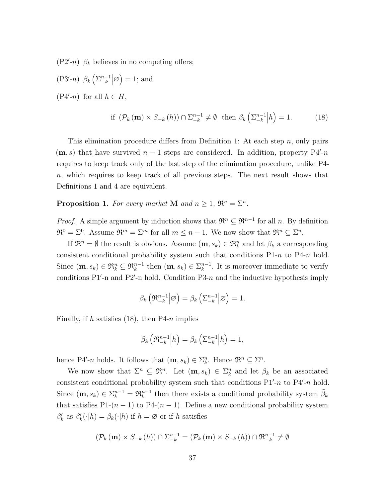$(P2'-n)$   $\beta_k$  believes in no competing offers;

$$
(P3'-n) \beta_k \left( \sum_{-k}^{n-1} \middle| \emptyset \right) = 1; \text{ and}
$$
  

$$
(P4'-n) \text{ for all } h \in H,
$$

$$
\text{if } (\mathcal{P}_k(\mathbf{m}) \times S_{-k}(h)) \cap \Sigma_{-k}^{n-1} \neq \emptyset \text{ then } \beta_k\left(\Sigma_{-k}^{n-1} \middle| h\right) = 1. \tag{18}
$$

This elimination procedure differs from Definition 1: At each step *n*, only pairs  $(m, s)$  that have survived  $n - 1$  steps are considered. In addition, property P4'-n requires to keep track only of the last step of the elimination procedure, unlike P4 *n*, which requires to keep track of all previous steps. The next result shows that Definitions 1 and 4 are equivalent.

**Proposition 1.** For every market **M** and  $n \geq 1$ ,  $\mathfrak{R}^n = \Sigma^n$ .

*Proof.* A simple argument by induction shows that  $\mathfrak{R}^n \subseteq \mathfrak{R}^{n-1}$  for all *n*. By definition  $\mathfrak{R}^0 = \Sigma^0$ . Assume  $\mathfrak{R}^m = \Sigma^m$  for all  $m \leq n-1$ . We now show that  $\mathfrak{R}^n \subseteq \Sigma^n$ .

If  $\mathfrak{R}^n = \emptyset$  the result is obvious. Assume  $(\mathbf{m}, s_k) \in \mathfrak{R}^n_k$  and let  $\beta_k$  a corresponding consistent conditional probability system such that conditions P1-*n* to P4-*n* hold. Since  $(\mathbf{m}, s_k) \in \mathfrak{R}_k^n \subseteq \mathfrak{R}_k^{n-1}$  then  $(\mathbf{m}, s_k) \in \Sigma_k^{n-1}$ . It is moreover immediate to verify conditions  $P1'$ -n and  $P2'$ -n hold. Condition  $P3-n$  and the inductive hypothesis imply

$$
\beta_k\left(\mathfrak{R}_{-k}^{n-1}\middle|\varnothing\right)=\beta_k\left(\sum_{-k}^{n-1}\middle|\varnothing\right)=1.
$$

Finally, if *h* satisfies (18), then P4-*n* implies

$$
\beta_k\left(\mathfrak{R}_{-k}^{n-1}\middle|h\right) = \beta_k\left(\sum_{-k}^{n-1}\middle|h\right) = 1,
$$

hence P4'-*n* holds. It follows that  $(\mathbf{m}, s_k) \in \Sigma_k^n$ . Hence  $\mathfrak{R}^n \subseteq \Sigma^n$ .

We now show that  $\Sigma^n \subseteq \mathfrak{R}^n$ . Let  $(\mathbf{m}, s_k) \in \Sigma_k^n$  and let  $\beta_k$  be an associated consistent conditional probability system such that conditions  $P1'-n$  to  $P4'-n$  hold. Since  $(m, s_k) \in \Sigma_k^{n-1} = \mathfrak{R}_k^{n-1}$  then there exists a conditional probability system  $\tilde{\beta}_k$ that satisfies P1- $(n-1)$  to P4- $(n-1)$ . Define a new conditional probability system  $\beta'_k$  as  $\beta'_k(\cdot|h) = \beta_k(\cdot|h)$  if  $h = \emptyset$  or if *h* satisfies

$$
\left(\mathcal{P}_k\left(\mathbf{m}\right)\times S_{-k}\left(h\right)\right)\cap \Sigma_{-k}^{n-1}=\left(\mathcal{P}_k\left(\mathbf{m}\right)\times S_{-k}\left(h\right)\right)\cap \mathfrak{R}_{-k}^{n-1}\neq \emptyset
$$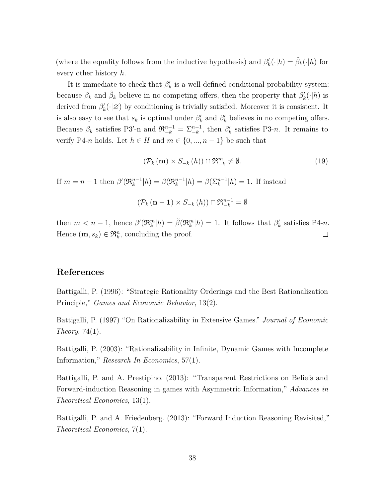(where the equality follows from the inductive hypothesis) and  $\beta'_k(\cdot|h) = \tilde{\beta}_k(\cdot|h)$  for every other history *h*.

It is immediate to check that  $\beta'_k$  is a well-defined conditional probability system: because  $\beta_k$  and  $\tilde{\beta}_k$  believe in no competing offers, then the property that  $\beta'_k(\cdot|h)$  is derived from  $\beta'_k(\cdot | \varnothing)$  by conditioning is trivially satisfied. Moreover it is consistent. It is also easy to see that  $s_k$  is optimal under  $\beta'_k$  and  $\beta'_k$  believes in no competing offers. Because  $\beta_k$  satisfies P3'-n and  $\mathfrak{R}_{-k}^{n-1} = \sum_{-k}^{n-1}$ , then  $\beta'_k$  satisfies P3-*n*. It remains to verify P4-*n* holds. Let  $h \in H$  and  $m \in \{0, ..., n-1\}$  be such that

$$
\left(\mathcal{P}_k\left(\mathbf{m}\right) \times S_{-k}\left(h\right)\right) \cap \mathfrak{R}_{-k}^m \neq \emptyset. \tag{19}
$$

If  $m = n - 1$  then  $\beta'(\mathfrak{R}_k^{n-1} | h) = \beta(\mathfrak{R}_k^{n-1} | h) = \beta(\sum_k^{n-1} | h) = 1$ . If instead

$$
(\mathcal{P}_k \left( \mathbf{n} - \mathbf{1} \right) \times S_{-k} \left( h \right)) \cap \mathfrak{R}_{-k}^{n-1} = \emptyset
$$

then  $m < n-1$ , hence  $\beta'(\mathfrak{R}_k^m|h) = \tilde{\beta}(\mathfrak{R}_k^m|h) = 1$ . It follows that  $\beta'_k$  satisfies P4-*n*. Hence  $(\mathbf{m}, s_k) \in \mathfrak{R}_k^n$ , concluding the proof.  $\Box$ 

# **References**

Battigalli, P. (1996): "Strategic Rationality Orderings and the Best Rationalization Principle," *Games and Economic Behavior*, 13(2).

Battigalli, P. (1997) "On Rationalizability in Extensive Games." *Journal of Economic Theory*, 74(1).

Battigalli, P. (2003): "Rationalizability in Infinite, Dynamic Games with Incomplete Information," *Research In Economics*, 57(1).

Battigalli, P. and A. Prestipino. (2013): "Transparent Restrictions on Beliefs and Forward-induction Reasoning in games with Asymmetric Information," *Advances in Theoretical Economics*, 13(1).

Battigalli, P. and A. Friedenberg. (2013): "Forward Induction Reasoning Revisited," *Theoretical Economics*, 7(1).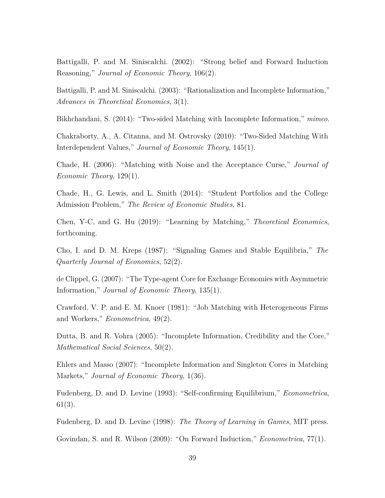Battigalli, P. and M. Siniscalchi. (2002): "Strong belief and Forward Induction Reasoning," *Journal of Economic Theory*, 106(2).

Battigalli, P. and M. Siniscalchi. (2003): "Rationalization and Incomplete Information," *Advances in Theoretical Economics*, 3(1).

Bikhchandani, S. (2014): "Two-sided Matching with Incomplete Information," *mimeo*.

Chakraborty, A., A. Citanna, and M. Ostrovsky (2010): "Two-Sided Matching With Interdependent Values," *Journal of Economic Theory*, 145(1).

Chade, H. (2006): "Matching with Noise and the Acceptance Curse," *Journal of Economic Theory*, 129(1).

Chade, H., G. Lewis, and L. Smith (2014): "Student Portfolios and the College Admission Problem," *The Review of Economic Studies*, 81.

Chen, Y-C, and G. Hu (2019): "Learning by Matching," *Theoretical Economics*, forthcoming.

Cho, I. and D. M. Kreps (1987): "Signaling Games and Stable Equilibria," *The Quarterly Journal of Economics*, 52(2).

de Clippel, G. (2007): "The Type-agent Core for Exchange Economies with Asymmetric Information," *Journal of Economic Theory*, 135(1).

Crawford, V. P. and E. M. Knoer (1981): "Job Matching with Heterogeneous Firms and Workers," *Econometrica*, 49(2).

Dutta, B. and R. Vohra (2005): "Incomplete Information, Credibility and the Core," *Mathematical Social Sciences*, 50(2).

Ehlers and Masso (2007): "Incomplete Information and Singleton Cores in Matching Markets," *Journal of Economic Theory*, 1(36).

Fudenberg, D. and D. Levine (1993): "Self-confirming Equilibrium," *Econometrica*, 61(3).

Fudenberg, D. and D. Levine (1998): *The Theory of Learning in Games*, MIT press.

Govindan, S. and R. Wilson (2009): "On Forward Induction," *Econometrica*, 77(1).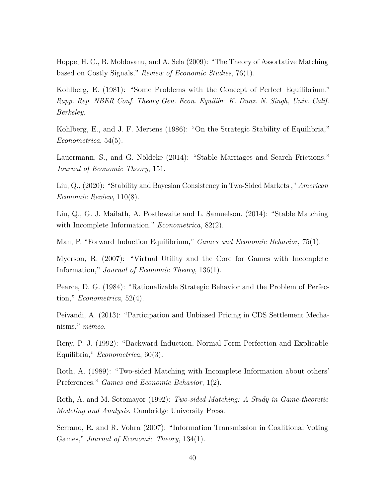Hoppe, H. C., B. Moldovanu, and A. Sela (2009): "The Theory of Assortative Matching based on Costly Signals," *Review of Economic Studies*, 76(1).

Kohlberg, E. (1981): "Some Problems with the Concept of Perfect Equilibrium." *Rapp. Rep. NBER Conf. Theory Gen. Econ. Equilibr. K. Dunz. N. Singh, Univ. Calif. Berkeley.*

Kohlberg, E., and J. F. Mertens (1986): "On the Strategic Stability of Equilibria," *Econometrica*, 54(5).

Lauermann, S., and G. Nöldeke (2014): "Stable Marriages and Search Frictions," *Journal of Economic Theory*, 151.

Liu, Q., (2020): "Stability and Bayesian Consistency in Two-Sided Markets ," *American Economic Review*, 110(8).

Liu, Q., G. J. Mailath, A. Postlewaite and L. Samuelson. (2014): "Stable Matching with Incomplete Information," *Econometrica*, 82(2).

Man, P. "Forward Induction Equilibrium," *Games and Economic Behavior*, 75(1).

Myerson, R. (2007): "Virtual Utility and the Core for Games with Incomplete Information," *Journal of Economic Theory*, 136(1).

Pearce, D. G. (1984): "Rationalizable Strategic Behavior and the Problem of Perfection," *Econometrica*, 52(4).

Peivandi, A. (2013): "Participation and Unbiased Pricing in CDS Settlement Mechanisms," *mimeo*.

Reny, P. J. (1992): "Backward Induction, Normal Form Perfection and Explicable Equilibria," *Econometrica*, 60(3).

Roth, A. (1989): "Two-sided Matching with Incomplete Information about others' Preferences," *Games and Economic Behavior*, 1(2).

Roth, A. and M. Sotomayor (1992): *Two-sided Matching: A Study in Game-theoretic Modeling and Analysis.* Cambridge University Press.

Serrano, R. and R. Vohra (2007): "Information Transmission in Coalitional Voting Games," *Journal of Economic Theory*, 134(1).